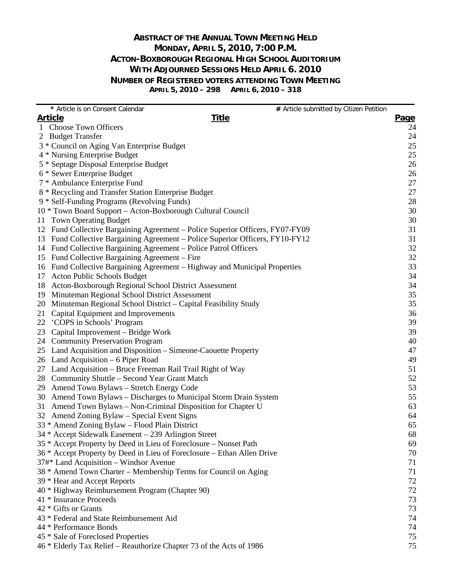# **ABSTRACT OF THE ANNUAL TOWN MEETING HELD MONDAY, APRIL 5, 2010, 7:00 P.M. ACTON-BOXBOROUGH REGIONAL HIGH SCHOOL AUDITORIUM WITH ADJOURNED SESSIONS HELD APRIL 6. 2010 NUMBER OF REGISTERED VOTERS ATTENDING TOWN MEETING APRIL 5, 2010 – 298 APRIL 6, 2010 – 318**

| * Article is on Consent Calendar                                              | # Article submitted by Citizen Petition |             |
|-------------------------------------------------------------------------------|-----------------------------------------|-------------|
| <b>Article</b>                                                                | <b>Title</b>                            | <b>Page</b> |
| 1 Choose Town Officers                                                        |                                         | 24          |
| 2 Budget Transfer                                                             |                                         | 24          |
| 3 * Council on Aging Van Enterprise Budget                                    |                                         | 25          |
| 4 * Nursing Enterprise Budget                                                 |                                         | 25          |
| 5 * Septage Disposal Enterprise Budget                                        |                                         | 26          |
| 6 * Sewer Enterprise Budget                                                   |                                         | 26          |
| 7 * Ambulance Enterprise Fund                                                 |                                         | 27          |
| 8 * Recycling and Transfer Station Enterprise Budget                          |                                         | 27          |
| 9 * Self-Funding Programs (Revolving Funds)                                   |                                         | 28          |
| 10 * Town Board Support - Acton-Boxborough Cultural Council                   |                                         | 30          |
| <b>Town Operating Budget</b><br>11                                            |                                         | 30          |
| 12 Fund Collective Bargaining Agreement – Police Superior Officers, FY07-FY09 |                                         | 31          |
| 13 Fund Collective Bargaining Agreement - Police Superior Officers, FY10-FY12 |                                         | 31          |
| 14 Fund Collective Bargaining Agreement - Police Patrol Officers              |                                         | 32          |
| 15 Fund Collective Bargaining Agreement – Fire                                |                                         | 32          |
| 16 Fund Collective Bargaining Agreement – Highway and Municipal Properties    |                                         | 33          |
| <b>Acton Public Schools Budget</b><br>17                                      |                                         | 34          |
| 18 Acton-Boxborough Regional School District Assessment                       |                                         | 34          |
| 19 Minuteman Regional School District Assessment                              |                                         | 35          |
| Minuteman Regional School District – Capital Feasibility Study<br>20          |                                         | 35          |
| 21 Capital Equipment and Improvements                                         |                                         | 36          |
| 22 'COPS in Schools' Program                                                  |                                         | 39          |
| 23 Capital Improvement – Bridge Work                                          |                                         | 39          |
| 24 Community Preservation Program                                             |                                         | 40          |
| 25 Land Acquisition and Disposition – Simeone-Caouette Property               |                                         | 47          |
| 26 Land Acquisition – 6 Piper Road                                            |                                         | 49          |
| 27 Land Acquisition – Bruce Freeman Rail Trail Right of Way                   |                                         | 51          |
| 28 Community Shuttle – Second Year Grant Match                                |                                         | 52          |
| 29 Amend Town Bylaws - Stretch Energy Code                                    |                                         | 53          |
| 30 Amend Town Bylaws - Discharges to Municipal Storm Drain System             |                                         | 55          |
| 31 Amend Town Bylaws - Non-Criminal Disposition for Chapter U                 |                                         | 63          |
| 32 Amend Zoning Bylaw - Special Event Signs                                   |                                         | 64          |
| 33 * Amend Zoning Bylaw – Flood Plain District                                |                                         | 65          |
| 34 * Accept Sidewalk Easement - 239 Arlington Street                          |                                         | 68          |
| 35 * Accept Property by Deed in Lieu of Foreclosure – Nonset Path             |                                         | 69          |
| 36 * Accept Property by Deed in Lieu of Foreclosure – Ethan Allen Drive       |                                         | 70          |
| 37#* Land Acquisition - Windsor Avenue                                        |                                         | 71          |
| 38 * Amend Town Charter – Membership Terms for Council on Aging               |                                         | 71          |
| 39 * Hear and Accept Reports                                                  |                                         | 72          |
| 40 * Highway Reimbursement Program (Chapter 90)                               |                                         | 72          |
| 41 * Insurance Proceeds                                                       |                                         | 73          |
| 42 * Gifts or Grants                                                          |                                         | 73          |
| 43 * Federal and State Reimbursement Aid                                      |                                         | 74          |
| 44 * Performance Bonds                                                        |                                         | 74          |
| 45 * Sale of Foreclosed Properties                                            |                                         | 75          |
| 46 * Elderly Tax Relief - Reauthorize Chapter 73 of the Acts of 1986          |                                         | 75          |
|                                                                               |                                         |             |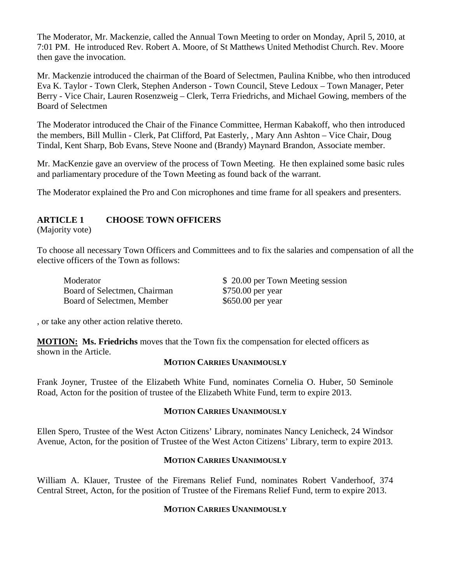The Moderator, Mr. Mackenzie, called the Annual Town Meeting to order on Monday, April 5, 2010, at 7:01 PM. He introduced Rev. Robert A. Moore, of St Matthews United Methodist Church. Rev. Moore then gave the invocation.

Mr. Mackenzie introduced the chairman of the Board of Selectmen, Paulina Knibbe, who then introduced Eva K. Taylor - Town Clerk, Stephen Anderson - Town Council, Steve Ledoux – Town Manager, Peter Berry - Vice Chair, Lauren Rosenzweig – Clerk, Terra Friedrichs, and Michael Gowing, members of the Board of Selectmen

The Moderator introduced the Chair of the Finance Committee, Herman Kabakoff, who then introduced the members, Bill Mullin - Clerk, Pat Clifford, Pat Easterly, , Mary Ann Ashton – Vice Chair, Doug Tindal, Kent Sharp, Bob Evans, Steve Noone and (Brandy) Maynard Brandon, Associate member.

Mr. MacKenzie gave an overview of the process of Town Meeting. He then explained some basic rules and parliamentary procedure of the Town Meeting as found back of the warrant.

The Moderator explained the Pro and Con microphones and time frame for all speakers and presenters.

# **ARTICLE 1 CHOOSE TOWN OFFICERS**

(Majority vote)

To choose all necessary Town Officers and Committees and to fix the salaries and compensation of all the elective officers of the Town as follows:

| Moderator                    | \$20.00 per Town Meeting session |
|------------------------------|----------------------------------|
| Board of Selectmen, Chairman | \$750.00 per year                |
| Board of Selectmen, Member   | $$650.00$ per year               |

, or take any other action relative thereto.

**MOTION:** Ms. Friedrichs moves that the Town fix the compensation for elected officers as shown in the Article.

#### **MOTION CARRIES UNANIMOUSLY**

Frank Joyner, Trustee of the Elizabeth White Fund, nominates Cornelia O. Huber, 50 Seminole Road, Acton for the position of trustee of the Elizabeth White Fund, term to expire 2013.

#### **MOTION CARRIES UNANIMOUSLY**

Ellen Spero, Trustee of the West Acton Citizens' Library, nominates Nancy Lenicheck, 24 Windsor Avenue, Acton, for the position of Trustee of the West Acton Citizens' Library, term to expire 2013.

#### **MOTION CARRIES UNANIMOUSLY**

William A. Klauer, Trustee of the Firemans Relief Fund, nominates Robert Vanderhoof, 374 Central Street, Acton, for the position of Trustee of the Firemans Relief Fund, term to expire 2013.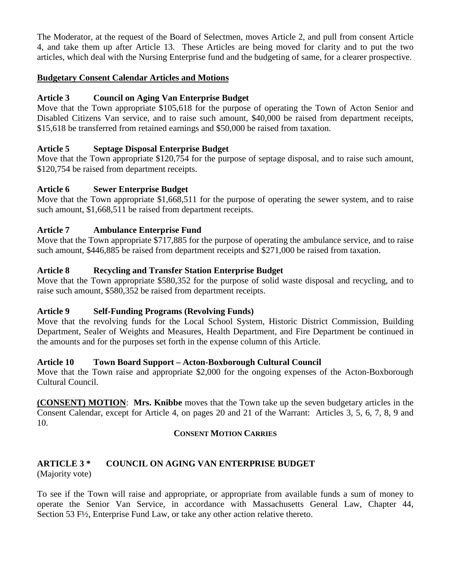The Moderator, at the request of the Board of Selectmen, moves Article 2, and pull from consent Article 4, and take them up after Article 13. These Articles are being moved for clarity and to put the two articles, which deal with the Nursing Enterprise fund and the budgeting of same, for a clearer prospective.

# **Budgetary Consent Calendar Articles and Motions**

# **Article 3 Council on Aging Van Enterprise Budget**

Move that the Town appropriate \$105,618 for the purpose of operating the Town of Acton Senior and Disabled Citizens Van service, and to raise such amount, \$40,000 be raised from department receipts, \$15,618 be transferred from retained earnings and \$50,000 be raised from taxation.

# **Article 5 Septage Disposal Enterprise Budget**

Move that the Town appropriate \$120,754 for the purpose of septage disposal, and to raise such amount, \$120,754 be raised from department receipts.

# **Article 6 Sewer Enterprise Budget**

Move that the Town appropriate \$1,668,511 for the purpose of operating the sewer system, and to raise such amount, \$1,668,511 be raised from department receipts.

# **Article 7 Ambulance Enterprise Fund**

Move that the Town appropriate \$717,885 for the purpose of operating the ambulance service, and to raise such amount, \$446,885 be raised from department receipts and \$271,000 be raised from taxation.

# **Article 8 Recycling and Transfer Station Enterprise Budget**

Move that the Town appropriate \$580,352 for the purpose of solid waste disposal and recycling, and to raise such amount, \$580,352 be raised from department receipts.

# **Article 9 Self-Funding Programs (Revolving Funds)**

Move that the revolving funds for the Local School System, Historic District Commission, Building Department, Sealer of Weights and Measures, Health Department, and Fire Department be continued in the amounts and for the purposes set forth in the expense column of this Article.

# **Article 10 Town Board Support – Acton-Boxborough Cultural Council**

Move that the Town raise and appropriate \$2,000 for the ongoing expenses of the Acton-Boxborough Cultural Council.

**(CONSENT) MOTION** : **Mrs. Knibbe** moves that the Town take up the seven budgetary articles in the Consent Calendar, except for Article 4, on pages 20 and 21 of the Warrant: Articles 3, 5, 6, 7, 8, 9 and 10.

# **CONSENT MOTION CARRIES**

#### **ARTICLE 3 \* COUNCIL ON AGING VAN ENTERPRISE BUDGET** (Majority vote)

To see if the Town will raise and appropriate, or appropriate from available funds a sum of money to operate the Senior Van Service, in accordance with Massachusetts General Law, Chapter 44, Section 53 F½, Enterprise Fund Law, or take any other action relative thereto.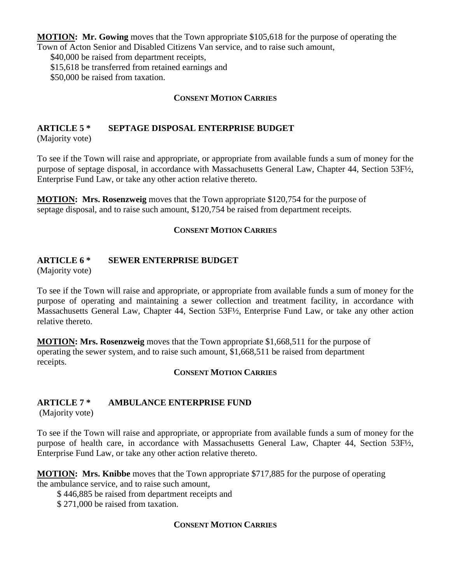**MOTION : Mr. Gowing** moves that the Town appropriate \$105,618 for the purpose of operating the Town of Acton Senior and Disabled Citizens Van service, and to raise such amount,

\$40,000 be raised from department receipts,

\$15,618 be transferred from retained earnings and

\$50,000 be raised from taxation.

#### **CONSENT MOTION CARRIES**

#### **ARTICLE 5 \* SEPTAGE DISPOSAL ENTERPRISE BUDGET**

(Majority vote)

To see if the Town will raise and appropriate, or appropriate from available funds a sum of money for the purpose of septage disposal, in accordance with Massachusetts General Law, Chapter 44, Section 53F½, Enterprise Fund Law, or take any other action relative thereto.

**MOTION: Mrs. Rosenzweig** moves that the Town appropriate \$120,754 for the purpose of septage disposal, and to raise such amount, \$120,754 be raised from department receipts.

#### **CONSENT MOTION CARRIES**

#### **ARTICLE 6 \* SEWER ENTERPRISE BUDGET**

(Majority vote)

To see if the Town will raise and appropriate, or appropriate from available funds a sum of money for the purpose of operating and maintaining a sewer collection and treatment facility, in accordance with Massachusetts General Law, Chapter 44, Section 53F½, Enterprise Fund Law, or take any other action relative thereto.

**MOTION : Mrs. Rosenzweig** moves that the Town appropriate \$1,668,511 for the purpose of operating the sewer system, and to raise such amount, \$1,668,511 be raised from department receipts.

# **CONSENT MOTION CARRIES**

# **ARTICLE 7 \* AMBULANCE ENTERPRISE FUND**

(Majority vote)

To see if the Town will raise and appropriate, or appropriate from available funds a sum of money for the purpose of health care, in accordance with Massachusetts General Law, Chapter 44, Section 53F½, Enterprise Fund Law, or take any other action relative thereto.

**MOTION : Mrs. Knibbe** moves that the Town appropriate \$717,885 for the purpose of operating the ambulance service, and to raise such amount,

\$ 446,885 be raised from department receipts and

\$ 271,000 be raised from taxation.

#### **CONSENT MOTION CARRIES**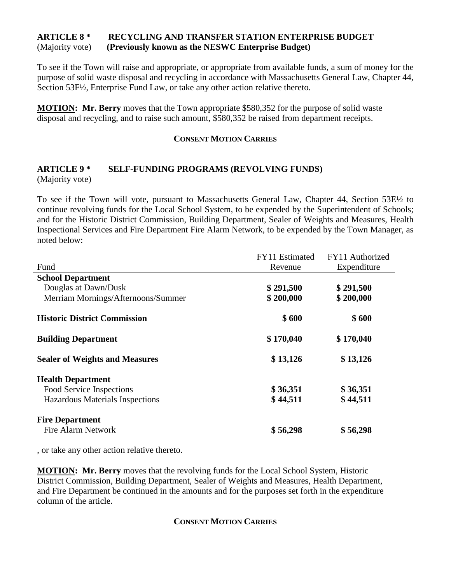# **ARTICLE 8 \* RECYCLING AND TRANSFER STATION ENTERPRISE BUDGET** (Majority vote) **(Previously known as the NESWC Enterprise Budget)**

To see if the Town will raise and appropriate, or appropriate from available funds, a sum of money for the purpose of solid waste disposal and recycling in accordance with Massachusetts General Law, Chapter 44, Section 53F½, Enterprise Fund Law, or take any other action relative thereto.

**MOTION: Mr. Berry** moves that the Town appropriate \$580,352 for the purpose of solid waste disposal and recycling, and to raise such amount, \$580,352 be raised from department receipts.

#### **CONSENT MOTION CARRIES**

#### **ARTICLE 9 \* SELF-FUNDING PROGRAMS (REVOLVING FUNDS)** (Majority vote)

To see if the Town will vote, pursuant to Massachusetts General Law, Chapter 44, Section 53E½ to continue revolving funds for the Local School System, to be expended by the Superintendent of Schools; and for the Historic District Commission, Building Department, Sealer of Weights and Measures, Health Inspectional Services and Fire Department Fire Alarm Network, to be expended by the Town Manager, as noted below:

|                                       | FY11 Estimated | FY11 Authorized |
|---------------------------------------|----------------|-----------------|
| Fund                                  | Revenue        | Expenditure     |
| <b>School Department</b>              |                |                 |
| Douglas at Dawn/Dusk                  | \$291,500      | \$291,500       |
| Merriam Mornings/Afternoons/Summer    | \$200,000      | \$200,000       |
| <b>Historic District Commission</b>   | \$600          | \$600           |
| <b>Building Department</b>            | \$170,040      | \$170,040       |
| <b>Sealer of Weights and Measures</b> | \$13,126       | \$13,126        |
| <b>Health Department</b>              |                |                 |
| Food Service Inspections              | \$36,351       | \$36,351        |
| Hazardous Materials Inspections       | \$44,511       | \$44,511        |
| <b>Fire Department</b>                |                |                 |
| <b>Fire Alarm Network</b>             | \$56,298       | \$56,298        |

, or take any other action relative thereto.

**MOTION: Mr. Berry** moves that the revolving funds for the Local School System, Historic District Commission, Building Department, Sealer of Weights and Measures, Health Department, and Fire Department be continued in the amounts and for the purposes set forth in the expenditure column of the article.

#### **CONSENT MOTION CARRIES**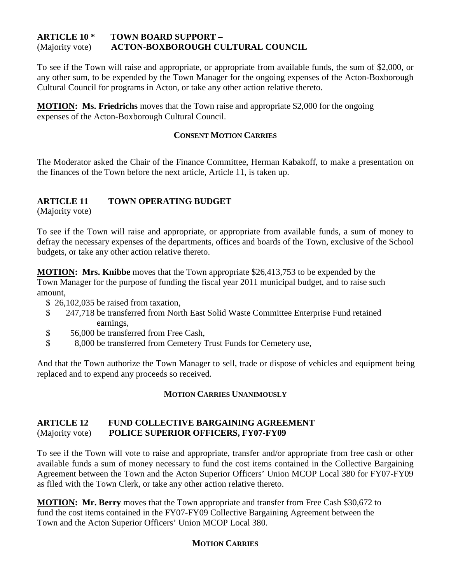#### **ARTICLE 10 \* TOWN BOARD SUPPORT –** (Majority vote) **ACTON-BOXBOROUGH CULTURAL COUNCIL**

To see if the Town will raise and appropriate, or appropriate from available funds, the sum of \$2,000, or any other sum, to be expended by the Town Manager for the ongoing expenses of the Acton-Boxborough Cultural Council for programs in Acton, or take any other action relative thereto.

**MOTION: Ms. Friedrichs** moves that the Town raise and appropriate \$2,000 for the ongoing expenses of the Acton-Boxborough Cultural Council.

#### **CONSENT MOTION CARRIES**

The Moderator asked the Chair of the Finance Committee, Herman Kabakoff, to make a presentation on the finances of the Town before the next article, Article 11, is taken up.

# **ARTICLE 11 TOWN OPERATING BUDGET**

(Majority vote)

To see if the Town will raise and appropriate, or appropriate from available funds, a sum of money to defray the necessary expenses of the departments, offices and boards of the Town, exclusive of the School budgets, or take any other action relative thereto.

**MOTION : Mrs. Knibbe** moves that the Town appropriate \$26,413,753 to be expended by the Town Manager for the purpose of funding the fiscal year 2011 municipal budget, and to raise such amount,

- \$ 26,102,035 be raised from taxation,
- \$ 247,718 be transferred from North East Solid Waste Committee Enterprise Fund retained earnings,
- \$ 56,000 be transferred from Free Cash,
- \$ 8,000 be transferred from Cemetery Trust Funds for Cemetery use,

And that the Town authorize the Town Manager to sell, trade or dispose of vehicles and equipment being replaced and to expend any proceeds so received.

# **MOTION CARRIES UNANIMOUSLY**

# **ARTICLE 12 FUND COLLECTIVE BARGAINING AGREEMENT** (Majority vote) **POLICE SUPERIOR OFFICERS, FY07-FY09**

To see if the Town will vote to raise and appropriate, transfer and/or appropriate from free cash or other available funds a sum of money necessary to fund the cost items contained in the Collective Bargaining Agreement between the Town and the Acton Superior Officers' Union MCOP Local 380 for FY07-FY09 as filed with the Town Clerk, or take any other action relative thereto.

**MOTION: Mr. Berry** moves that the Town appropriate and transfer from Free Cash \$30,672 to fund the cost items contained in the FY07-FY09 Collective Bargaining Agreement between the Town and the Acton Superior Officers' Union MCOP Local 380.

# **MOTION CARRIES**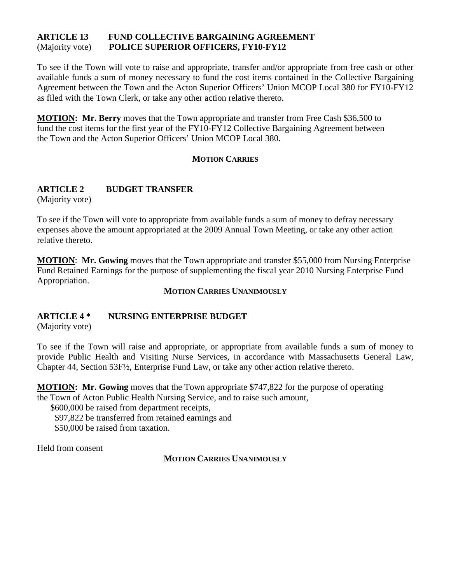#### **ARTICLE 13 FUND COLLECTIVE BARGAINING AGREEMENT** (Majority vote) **POLICE SUPERIOR OFFICERS, FY10-FY12**

To see if the Town will vote to raise and appropriate, transfer and/or appropriate from free cash or other available funds a sum of money necessary to fund the cost items contained in the Collective Bargaining Agreement between the Town and the Acton Superior Officers' Union MCOP Local 380 for FY10-FY12 as filed with the Town Clerk, or take any other action relative thereto.

**MOTION: Mr. Berry** moves that the Town appropriate and transfer from Free Cash \$36,500 to fund the cost items for the first year of the FY10-FY12 Collective Bargaining Agreement between the Town and the Acton Superior Officers' Union MCOP Local 380.

#### **MOTION CARRIES**

# **ARTICLE 2 BUDGET TRANSFER**

(Majority vote)

To see if the Town will vote to appropriate from available funds a sum of money to defray necessary expenses above the amount appropriated at the 2009 Annual Town Meeting, or take any other action relative thereto.

**MOTION** : **Mr. Gowing** moves that the Town appropriate and transfer \$55,000 from Nursing Enterprise Fund Retained Earnings for the purpose of supplementing the fiscal year 2010 Nursing Enterprise Fund Appropriation.

#### **MOTION CARRIES UNANIMOUSLY**

# **ARTICLE 4 \* NURSING ENTERPRISE BUDGET**

(Majority vote)

To see if the Town will raise and appropriate, or appropriate from available funds a sum of money to provide Public Health and Visiting Nurse Services, in accordance with Massachusetts General Law, Chapter 44, Section 53F½, Enterprise Fund Law, or take any other action relative thereto.

**MOTION : Mr. Gowing** moves that the Town appropriate \$747,822 for the purpose of operating the Town of Acton Public Health Nursing Service, and to raise such amount,

 \$600,000 be raised from department receipts, \$97,822 be transferred from retained earnings and \$50,000 be raised from taxation.

Held from consent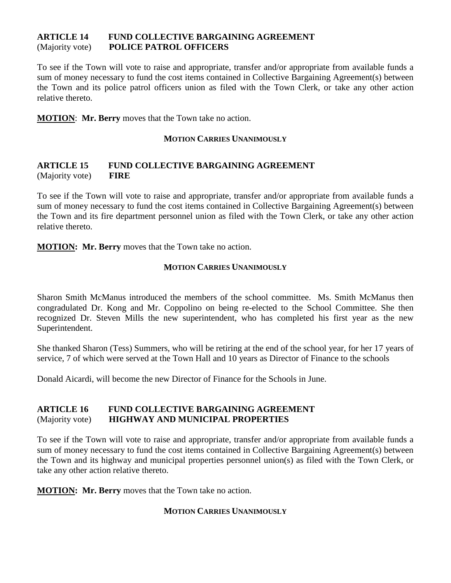#### **ARTICLE 14 FUND COLLECTIVE BARGAINING AGREEMENT** (Majority vote) **POLICE PATROL OFFICERS**

To see if the Town will vote to raise and appropriate, transfer and/or appropriate from available funds a sum of money necessary to fund the cost items contained in Collective Bargaining Agreement(s) between the Town and its police patrol officers union as filed with the Town Clerk, or take any other action relative thereto.

**MOTION**: **Mr. Berry** moves that the Town take no action.

#### **MOTION CARRIES UNANIMOUSLY**

# **ARTICLE 15 FUND COLLECTIVE BARGAINING AGREEMENT** (Majority vote) **FIRE**

To see if the Town will vote to raise and appropriate, transfer and/or appropriate from available funds a sum of money necessary to fund the cost items contained in Collective Bargaining Agreement(s) between the Town and its fire department personnel union as filed with the Town Clerk, or take any other action relative thereto.

**MOTION: Mr. Berry** moves that the Town take no action.

# **MOTION CARRIES UNANIMOUSLY**

Sharon Smith McManus introduced the members of the school committee. Ms. Smith McManus then congradulated Dr. Kong and Mr. Coppolino on being re-elected to the School Committee. She then recognized Dr. Steven Mills the new superintendent, who has completed his first year as the new Superintendent.

She thanked Sharon (Tess) Summers, who will be retiring at the end of the school year, for her 17 years of service, 7 of which were served at the Town Hall and 10 years as Director of Finance to the schools

Donald Aicardi, will become the new Director of Finance for the Schools in June.

# **ARTICLE 16 FUND COLLECTIVE BARGAINING AGREEMENT** (Majority vote) **HIGHWAY AND MUNICIPAL PROPERTIES**

To see if the Town will vote to raise and appropriate, transfer and/or appropriate from available funds a sum of money necessary to fund the cost items contained in Collective Bargaining Agreement(s) between the Town and its highway and municipal properties personnel union(s) as filed with the Town Clerk, or take any other action relative thereto.

**MOTION: Mr. Berry** moves that the Town take no action.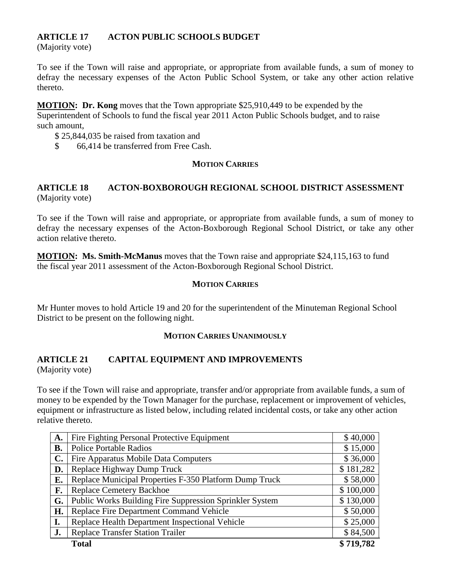# **ARTICLE 17 ACTON PUBLIC SCHOOLS BUDGET**

(Majority vote)

To see if the Town will raise and appropriate, or appropriate from available funds, a sum of money to defray the necessary expenses of the Acton Public School System, or take any other action relative thereto.

**MOTION : Dr. Kong** moves that the Town appropriate \$25,910,449 to be expended by the Superintendent of Schools to fund the fiscal year 2011 Acton Public Schools budget, and to raise such amount,

- \$ 25,844,035 be raised from taxation and
- \$ 66,414 be transferred from Free Cash.

#### **MOTION CARRIES**

# **ARTICLE 18 ACTON-BOXBOROUGH REGIONAL SCHOOL DISTRICT ASSESSMENT** (Majority vote)

To see if the Town will raise and appropriate, or appropriate from available funds, a sum of money to defray the necessary expenses of the Acton-Boxborough Regional School District, or take any other action relative thereto.

**MOTION: Ms. Smith-McManus** moves that the Town raise and appropriate \$24,115,163 to fund the fiscal year 2011 assessment of the Acton-Boxborough Regional School District.

#### **MOTION CARRIES**

Mr Hunter moves to hold Article 19 and 20 for the superintendent of the Minuteman Regional School District to be present on the following night.

#### **MOTION CARRIES UNANIMOUSLY**

# **ARTICLE 21 CAPITAL EQUIPMENT AND IMPROVEMENTS**

(Majority vote)

To see if the Town will raise and appropriate, transfer and/or appropriate from available funds, a sum of money to be expended by the Town Manager for the purchase, replacement or improvement of vehicles, equipment or infrastructure as listed below, including related incidental costs, or take any other action relative thereto.

| A.             | Fire Fighting Personal Protective Equipment             | \$40,000  |
|----------------|---------------------------------------------------------|-----------|
| <b>B.</b>      | <b>Police Portable Radios</b>                           | \$15,000  |
| $\mathbf{C}$ . | Fire Apparatus Mobile Data Computers                    | \$36,000  |
| D.             | Replace Highway Dump Truck                              | \$181,282 |
| E.             | Replace Municipal Properties F-350 Platform Dump Truck  | \$58,000  |
| F.             | <b>Replace Cemetery Backhoe</b>                         | \$100,000 |
| G.             | Public Works Building Fire Suppression Sprinkler System | \$130,000 |
| H.             | Replace Fire Department Command Vehicle                 | \$50,000  |
| I.             | Replace Health Department Inspectional Vehicle          | \$25,000  |
| J.             | <b>Replace Transfer Station Trailer</b>                 | \$84,500  |
|                | <b>Total</b>                                            | \$719,782 |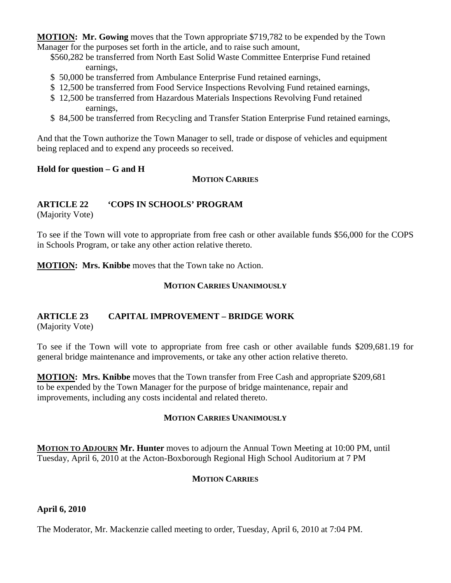**MOTION : Mr. Gowing** moves that the Town appropriate \$719,782 to be expended by the Town Manager for the purposes set forth in the article, and to raise such amount,

- \$560,282 be transferred from North East Solid Waste Committee Enterprise Fund retained earnings,
- \$ 50,000 be transferred from Ambulance Enterprise Fund retained earnings,
- \$ 12,500 be transferred from Food Service Inspections Revolving Fund retained earnings,
- \$ 12,500 be transferred from Hazardous Materials Inspections Revolving Fund retained earnings,
- \$ 84,500 be transferred from Recycling and Transfer Station Enterprise Fund retained earnings,

And that the Town authorize the Town Manager to sell, trade or dispose of vehicles and equipment being replaced and to expend any proceeds so received.

#### **Hold for question – G and H**

**MOTION CARRIES** 

# **ARTICLE 22 'COPS IN SCHOOLS' PROGRAM**

(Majority Vote)

To see if the Town will vote to appropriate from free cash or other available funds \$56,000 for the COPS in Schools Program, or take any other action relative thereto.

**MOTION: Mrs. Knibbe** moves that the Town take no Action.

# **MOTION CARRIES UNANIMOUSLY**

# **ARTICLE 23 CAPITAL IMPROVEMENT – BRIDGE WORK**

(Majority Vote)

To see if the Town will vote to appropriate from free cash or other available funds \$209,681.19 for general bridge maintenance and improvements, or take any other action relative thereto.

**MOTION: Mrs. Knibbe** moves that the Town transfer from Free Cash and appropriate \$209,681 to be expended by the Town Manager for the purpose of bridge maintenance, repair and improvements, including any costs incidental and related thereto.

# **MOTION CARRIES UNANIMOUSLY**

**MOTION TO ADJOURN Mr. Hunter** moves to adjourn the Annual Town Meeting at 10:00 PM, until Tuesday, April 6, 2010 at the Acton-Boxborough Regional High School Auditorium at 7 PM

# **MOTION CARRIES**

# **April 6, 2010**

The Moderator, Mr. Mackenzie called meeting to order, Tuesday, April 6, 2010 at 7:04 PM.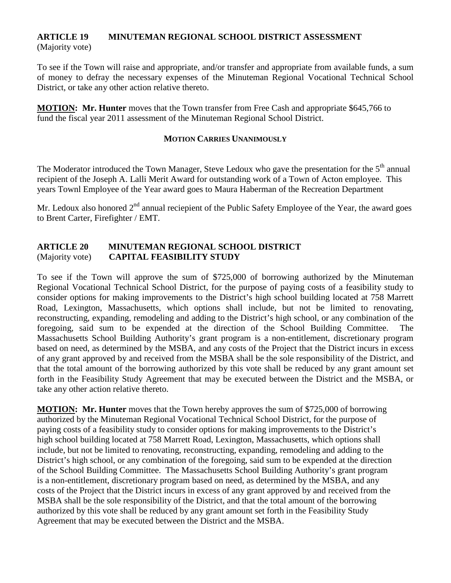#### **ARTICLE 19 MINUTEMAN REGIONAL SCHOOL DISTRICT ASSESSMENT** (Majority vote)

To see if the Town will raise and appropriate, and/or transfer and appropriate from available funds, a sum of money to defray the necessary expenses of the Minuteman Regional Vocational Technical School District, or take any other action relative thereto.

**MOTION: Mr. Hunter** moves that the Town transfer from Free Cash and appropriate \$645,766 to fund the fiscal year 2011 assessment of the Minuteman Regional School District.

#### **MOTION CARRIES UNANIMOUSLY**

The Moderator introduced the Town Manager, Steve Ledoux who gave the presentation for the  $5<sup>th</sup>$  annual recipient of the Joseph A. Lalli Merit Award for outstanding work of a Town of Acton employee. This years Townl Employee of the Year award goes to Maura Haberman of the Recreation Department

Mr. Ledoux also honored  $2<sup>nd</sup>$  annual reciepient of the Public Safety Employee of the Year, the award goes to Brent Carter, Firefighter / EMT.

# **ARTICLE 20 MINUTEMAN REGIONAL SCHOOL DISTRICT** (Majority vote) **CAPITAL FEASIBILITY STUDY**

To see if the Town will approve the sum of \$725,000 of borrowing authorized by the Minuteman Regional Vocational Technical School District, for the purpose of paying costs of a feasibility study to consider options for making improvements to the District's high school building located at 758 Marrett Road, Lexington, Massachusetts, which options shall include, but not be limited to renovating, reconstructing, expanding, remodeling and adding to the District's high school, or any combination of the foregoing, said sum to be expended at the direction of the School Building Committee. The Massachusetts School Building Authority's grant program is a non-entitlement, discretionary program based on need, as determined by the MSBA, and any costs of the Project that the District incurs in excess of any grant approved by and received from the MSBA shall be the sole responsibility of the District, and that the total amount of the borrowing authorized by this vote shall be reduced by any grant amount set forth in the Feasibility Study Agreement that may be executed between the District and the MSBA, or take any other action relative thereto.

**MOTION: Mr. Hunter** moves that the Town hereby approves the sum of \$725,000 of borrowing authorized by the Minuteman Regional Vocational Technical School District, for the purpose of paying costs of a feasibility study to consider options for making improvements to the District's high school building located at 758 Marrett Road, Lexington, Massachusetts, which options shall include, but not be limited to renovating, reconstructing, expanding, remodeling and adding to the District's high school, or any combination of the foregoing, said sum to be expended at the direction of the School Building Committee. The Massachusetts School Building Authority's grant program is a non-entitlement, discretionary program based on need, as determined by the MSBA, and any costs of the Project that the District incurs in excess of any grant approved by and received from the MSBA shall be the sole responsibility of the District, and that the total amount of the borrowing authorized by this vote shall be reduced by any grant amount set forth in the Feasibility Study Agreement that may be executed between the District and the MSBA.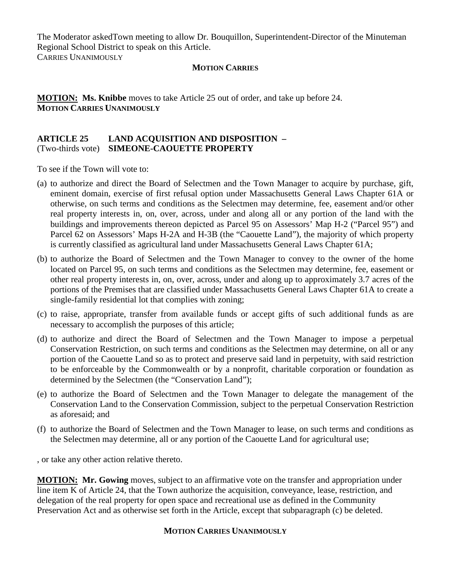The Moderator askedTown meeting to allow Dr. Bouquillon, Superintendent-Director of the Minuteman Regional School District to speak on this Article.

CARRIES UNANIMOUSLY

#### **MOTION CARRIES**

**MOTION:** Ms. Knibbe moves to take Article 25 out of order, and take up before 24. **MOTION CARRIES UNANIMOUSLY**

#### **ARTICLE 25 LAND ACQUISITION AND DISPOSITION –** (Two-thirds vote) **SIMEONE-CAOUETTE PROPERTY**

To see if the Town will vote to:

- (a) to authorize and direct the Board of Selectmen and the Town Manager to acquire by purchase, gift, eminent domain, exercise of first refusal option under Massachusetts General Laws Chapter 61A or otherwise, on such terms and conditions as the Selectmen may determine, fee, easement and/or other real property interests in, on, over, across, under and along all or any portion of the land with the buildings and improvements thereon depicted as Parcel 95 on Assessors' Map H-2 ("Parcel 95") and Parcel 62 on Assessors' Maps H-2A and H-3B (the "Caouette Land"), the majority of which property is currently classified as agricultural land under Massachusetts General Laws Chapter 61A;
- (b) to authorize the Board of Selectmen and the Town Manager to convey to the owner of the home located on Parcel 95, on such terms and conditions as the Selectmen may determine, fee, easement or other real property interests in, on, over, across, under and along up to approximately 3.7 acres of the portions of the Premises that are classified under Massachusetts General Laws Chapter 61A to create a single-family residential lot that complies with zoning;
- (c) to raise, appropriate, transfer from available funds or accept gifts of such additional funds as are necessary to accomplish the purposes of this article;
- (d) to authorize and direct the Board of Selectmen and the Town Manager to impose a perpetual Conservation Restriction, on such terms and conditions as the Selectmen may determine, on all or any portion of the Caouette Land so as to protect and preserve said land in perpetuity, with said restriction to be enforceable by the Commonwealth or by a nonprofit, charitable corporation or foundation as determined by the Selectmen (the "Conservation Land");
- (e) to authorize the Board of Selectmen and the Town Manager to delegate the management of the Conservation Land to the Conservation Commission, subject to the perpetual Conservation Restriction as aforesaid; and
- (f) to authorize the Board of Selectmen and the Town Manager to lease, on such terms and conditions as the Selectmen may determine, all or any portion of the Caouette Land for agricultural use;

, or take any other action relative thereto.

**MOTION: Mr. Gowing** moves, subject to an affirmative vote on the transfer and appropriation under line item K of Article 24, that the Town authorize the acquisition, conveyance, lease, restriction, and delegation of the real property for open space and recreational use as defined in the Community Preservation Act and as otherwise set forth in the Article, except that subparagraph (c) be deleted.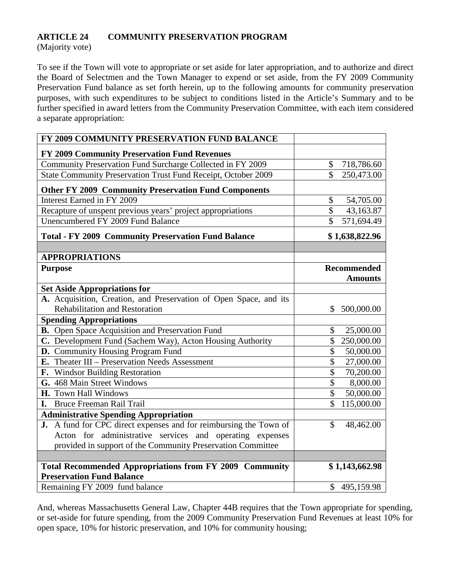## **ARTICLE 24 COMMUNITY PRESERVATION PROGRAM**

(Majority vote)

To see if the Town will vote to appropriate or set aside for later appropriation, and to authorize and direct the Board of Selectmen and the Town Manager to expend or set aside, from the FY 2009 Community Preservation Fund balance as set forth herein, up to the following amounts for community preservation purposes, with such expenditures to be subject to conditions listed in the Article's Summary and to be further specified in award letters from the Community Preservation Committee, with each item considered a separate appropriation:

| FY 2009 COMMUNITY PRESERVATION FUND BALANCE                       |                                        |
|-------------------------------------------------------------------|----------------------------------------|
| FY 2009 Community Preservation Fund Revenues                      |                                        |
| Community Preservation Fund Surcharge Collected in FY 2009        | 718,786.60<br>\$                       |
| State Community Preservation Trust Fund Receipt, October 2009     | $\mathbf{\hat{S}}$<br>250,473.00       |
| <b>Other FY 2009 Community Preservation Fund Components</b>       |                                        |
| Interest Earned in FY 2009                                        | \$<br>54,705.00                        |
| Recapture of unspent previous years' project appropriations       | $\overline{\mathcal{S}}$<br>43,163.87  |
| Unencumbered FY 2009 Fund Balance                                 | $\overline{\mathcal{S}}$<br>571,694.49 |
| <b>Total - FY 2009 Community Preservation Fund Balance</b>        | \$1,638,822.96                         |
|                                                                   |                                        |
| <b>APPROPRIATIONS</b>                                             |                                        |
| <b>Purpose</b>                                                    | <b>Recommended</b><br><b>Amounts</b>   |
| <b>Set Aside Appropriations for</b>                               |                                        |
| A. Acquisition, Creation, and Preservation of Open Space, and its |                                        |
| <b>Rehabilitation and Restoration</b>                             | \$<br>500,000.00                       |
| <b>Spending Appropriations</b>                                    |                                        |
| B. Open Space Acquisition and Preservation Fund                   | \$<br>25,000.00                        |
| C. Development Fund (Sachem Way), Acton Housing Authority         | \$<br>250,000.00                       |
| D. Community Housing Program Fund                                 | $\overline{\$}$<br>50,000.00           |
| E. Theater III – Preservation Needs Assessment                    | $\overline{\$}$<br>27,000.00           |
| F. Windsor Building Restoration                                   | $\overline{\$}$<br>70,200.00           |
| G. 468 Main Street Windows                                        | $\overline{\$}$<br>8,000.00            |
| H. Town Hall Windows                                              | $\overline{\mathcal{S}}$<br>50,000.00  |
| I. Bruce Freeman Rail Trail                                       | \$<br>115,000.00                       |
| <b>Administrative Spending Appropriation</b>                      |                                        |
| J. A fund for CPC direct expenses and for reimbursing the Town of | $\mathbf{\hat{S}}$<br>48,462.00        |
| Acton for administrative services and operating expenses          |                                        |
| provided in support of the Community Preservation Committee       |                                        |
|                                                                   |                                        |
| <b>Total Recommended Appropriations from FY 2009 Community</b>    | \$1,143,662.98                         |
| <b>Preservation Fund Balance</b>                                  |                                        |
| Remaining FY 2009 fund balance                                    | \$495,159.98                           |

And, whereas Massachusetts General Law, Chapter 44B requires that the Town appropriate for spending, or set-aside for future spending, from the 2009 Community Preservation Fund Revenues at least 10% for open space, 10% for historic preservation, and 10% for community housing;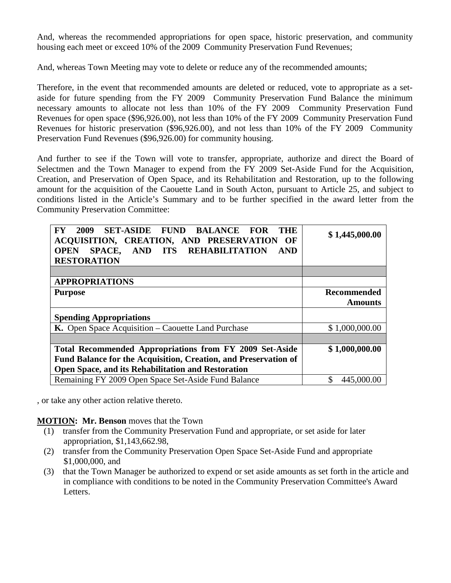And, whereas the recommended appropriations for open space, historic preservation, and community housing each meet or exceed 10% of the 2009 Community Preservation Fund Revenues;

And, whereas Town Meeting may vote to delete or reduce any of the recommended amounts;

Therefore, in the event that recommended amounts are deleted or reduced, vote to appropriate as a setaside for future spending from the FY 2009 Community Preservation Fund Balance the minimum necessary amounts to allocate not less than 10% of the FY 2009 Community Preservation Fund Revenues for open space (\$96,926.00), not less than 10% of the FY 2009 Community Preservation Fund Revenues for historic preservation (\$96,926.00), and not less than 10% of the FY 2009 Community Preservation Fund Revenues (\$96,926.00) for community housing.

And further to see if the Town will vote to transfer, appropriate, authorize and direct the Board of Selectmen and the Town Manager to expend from the FY 2009 Set-Aside Fund for the Acquisition, Creation, and Preservation of Open Space, and its Rehabilitation and Restoration, up to the following amount for the acquisition of the Caouette Land in South Acton, pursuant to Article 25, and subject to conditions listed in the Article's Summary and to be further specified in the award letter from the Community Preservation Committee:

| 2009<br><b>SET-ASIDE FUND</b><br><b>BALANCE</b><br><b>THE</b><br>${\bf F}{\bf Y}$<br><b>FOR</b><br>ACQUISITION, CREATION, AND PRESERVATION OF<br><b>REHABILITATION</b><br>AND ITS<br><b>OPEN</b><br><b>AND</b><br><b>SPACE,</b><br><b>RESTORATION</b> | \$1,445,000.00                       |  |
|-------------------------------------------------------------------------------------------------------------------------------------------------------------------------------------------------------------------------------------------------------|--------------------------------------|--|
|                                                                                                                                                                                                                                                       |                                      |  |
| <b>APPROPRIATIONS</b>                                                                                                                                                                                                                                 |                                      |  |
| <b>Purpose</b>                                                                                                                                                                                                                                        | <b>Recommended</b><br><b>Amounts</b> |  |
| <b>Spending Appropriations</b>                                                                                                                                                                                                                        |                                      |  |
| K. Open Space Acquisition – Caouette Land Purchase                                                                                                                                                                                                    | \$1,000,000.00                       |  |
|                                                                                                                                                                                                                                                       |                                      |  |
| Total Recommended Appropriations from FY 2009 Set-Aside<br>Fund Balance for the Acquisition, Creation, and Preservation of                                                                                                                            | \$1,000,000.00                       |  |
| <b>Open Space, and its Rehabilitation and Restoration</b>                                                                                                                                                                                             |                                      |  |
| Remaining FY 2009 Open Space Set-Aside Fund Balance                                                                                                                                                                                                   | \$<br>445,000.00                     |  |

, or take any other action relative thereto.

# **MOTION : Mr. Benson** moves that the Town

- (1) transfer from the Community Preservation Fund and appropriate, or set aside for later appropriation, \$1,143,662.98,
- (2) transfer from the Community Preservation Open Space Set-Aside Fund and appropriate \$1,000,000, and
- (3) that the Town Manager be authorized to expend or set aside amounts as set forth in the article and in compliance with conditions to be noted in the Community Preservation Committee's Award Letters.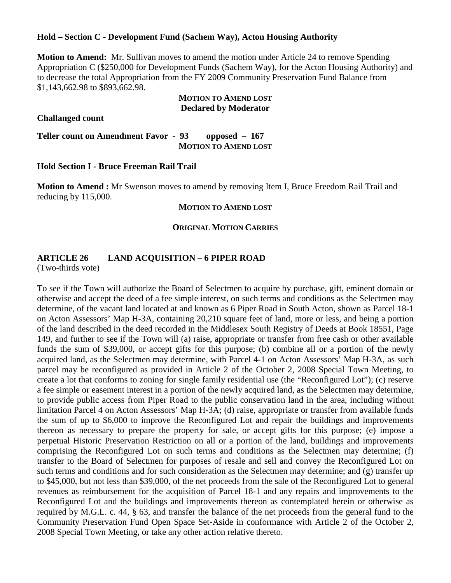#### **Hold – Section C** - **Development Fund (Sachem Way), Acton Housing Authority**

**Motion to Amend:** Mr. Sullivan moves to amend the motion under Article 24 to remove Spending Appropriation C (\$250,000 for Development Funds (Sachem Way), for the Acton Housing Authority) and to decrease the total Appropriation from the FY 2009 Community Preservation Fund Balance from \$1,143,662.98 to \$893,662.98.

#### **MOTION TO AMEND LOST Declared by Moderator**

#### **Challanged count**

**Teller count on Amendment Favor - 93 opposed – 167 MOTION TO AMEND LOST**

#### **Hold Section I - Bruce Freeman Rail Trail**

**Motion to Amend :** Mr Swenson moves to amend by removing Item I, Bruce Freedom Rail Trail and reducing by 115,000.

#### **MOTION TO AMEND LOST**

#### **ORIGINAL MOTION CARRIES**

#### **ARTICLE 26 LAND ACQUISITION – 6 PIPER ROAD**

(Two-thirds vote)

To see if the Town will authorize the Board of Selectmen to acquire by purchase, gift, eminent domain or otherwise and accept the deed of a fee simple interest, on such terms and conditions as the Selectmen may determine, of the vacant land located at and known as 6 Piper Road in South Acton, shown as Parcel 18-1 on Acton Assessors' Map H-3A, containing 20,210 square feet of land, more or less, and being a portion of the land described in the deed recorded in the Middlesex South Registry of Deeds at Book 18551, Page 149, and further to see if the Town will (a) raise, appropriate or transfer from free cash or other available funds the sum of \$39,000, or accept gifts for this purpose; (b) combine all or a portion of the newly acquired land, as the Selectmen may determine, with Parcel 4-1 on Acton Assessors' Map H-3A, as such parcel may be reconfigured as provided in Article 2 of the October 2, 2008 Special Town Meeting, to create a lot that conforms to zoning for single family residential use (the "Reconfigured Lot"); (c) reserve a fee simple or easement interest in a portion of the newly acquired land, as the Selectmen may determine, to provide public access from Piper Road to the public conservation land in the area, including without limitation Parcel 4 on Acton Assessors' Map H-3A; (d) raise, appropriate or transfer from available funds the sum of up to \$6,000 to improve the Reconfigured Lot and repair the buildings and improvements thereon as necessary to prepare the property for sale, or accept gifts for this purpose; (e) impose a perpetual Historic Preservation Restriction on all or a portion of the land, buildings and improvements comprising the Reconfigured Lot on such terms and conditions as the Selectmen may determine; (f) transfer to the Board of Selectmen for purposes of resale and sell and convey the Reconfigured Lot on such terms and conditions and for such consideration as the Selectmen may determine; and (g) transfer up to \$45,000, but not less than \$39,000, of the net proceeds from the sale of the Reconfigured Lot to general revenues as reimbursement for the acquisition of Parcel 18-1 and any repairs and improvements to the Reconfigured Lot and the buildings and improvements thereon as contemplated herein or otherwise as required by M.G.L. c. 44, § 63, and transfer the balance of the net proceeds from the general fund to the Community Preservation Fund Open Space Set-Aside in conformance with Article 2 of the October 2, 2008 Special Town Meeting, or take any other action relative thereto.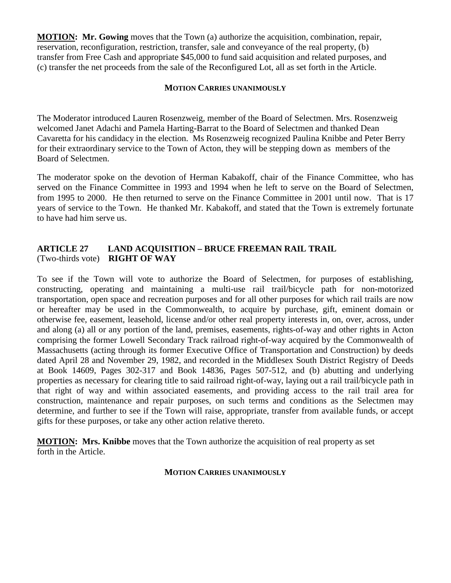**MOTION: Mr. Gowing** moves that the Town (a) authorize the acquisition, combination, repair, reservation, reconfiguration, restriction, transfer, sale and conveyance of the real property, (b) transfer from Free Cash and appropriate \$45,000 to fund said acquisition and related purposes, and (c) transfer the net proceeds from the sale of the Reconfigured Lot, all as set forth in the Article.

#### **MOTION CARRIES UNANIMOUSLY**

The Moderator introduced Lauren Rosenzweig, member of the Board of Selectmen. Mrs. Rosenzweig welcomed Janet Adachi and Pamela Harting-Barrat to the Board of Selectmen and thanked Dean Cavaretta for his candidacy in the election. Ms Rosenzweig recognized Paulina Knibbe and Peter Berry for their extraordinary service to the Town of Acton, they will be stepping down as members of the Board of Selectmen.

The moderator spoke on the devotion of Herman Kabakoff, chair of the Finance Committee, who has served on the Finance Committee in 1993 and 1994 when he left to serve on the Board of Selectmen, from 1995 to 2000. He then returned to serve on the Finance Committee in 2001 until now. That is 17 years of service to the Town. He thanked Mr. Kabakoff, and stated that the Town is extremely fortunate to have had him serve us.

#### **ARTICLE 27 LAND ACQUISITION – BRUCE FREEMAN RAIL TRAIL** (Two-thirds vote) **RIGHT OF WAY**

To see if the Town will vote to authorize the Board of Selectmen, for purposes of establishing, constructing, operating and maintaining a multi-use rail trail/bicycle path for non-motorized transportation, open space and recreation purposes and for all other purposes for which rail trails are now or hereafter may be used in the Commonwealth, to acquire by purchase, gift, eminent domain or otherwise fee, easement, leasehold, license and/or other real property interests in, on, over, across, under and along (a) all or any portion of the land, premises, easements, rights-of-way and other rights in Acton comprising the former Lowell Secondary Track railroad right-of-way acquired by the Commonwealth of Massachusetts (acting through its former Executive Office of Transportation and Construction) by deeds dated April 28 and November 29, 1982, and recorded in the Middlesex South District Registry of Deeds at Book 14609, Pages 302-317 and Book 14836, Pages 507-512, and (b) abutting and underlying properties as necessary for clearing title to said railroad right-of-way, laying out a rail trail/bicycle path in that right of way and within associated easements, and providing access to the rail trail area for construction, maintenance and repair purposes, on such terms and conditions as the Selectmen may determine, and further to see if the Town will raise, appropriate, transfer from available funds, or accept gifts for these purposes, or take any other action relative thereto.

**MOTION: Mrs. Knibbe** moves that the Town authorize the acquisition of real property as set forth in the Article.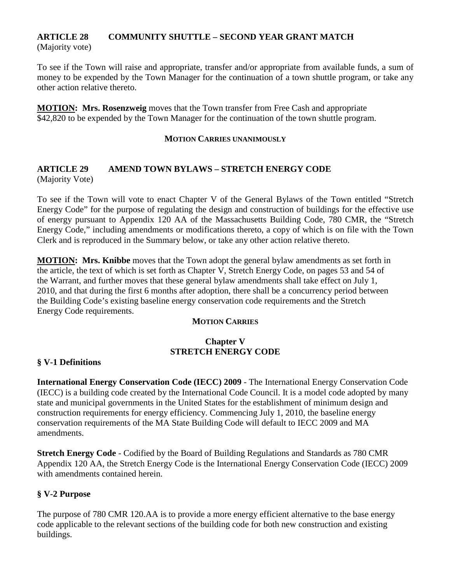#### **ARTICLE 28 COMMUNITY SHUTTLE – SECOND YEAR GRANT MATCH** (Majority vote)

To see if the Town will raise and appropriate, transfer and/or appropriate from available funds, a sum of money to be expended by the Town Manager for the continuation of a town shuttle program, or take any other action relative thereto.

**MOTION: Mrs. Rosenzweig** moves that the Town transfer from Free Cash and appropriate \$42,820 to be expended by the Town Manager for the continuation of the town shuttle program.

#### **MOTION CARRIES UNANIMOUSLY**

#### **ARTICLE 29 AMEND TOWN BYLAWS – STRETCH ENERGY CODE**  (Majority Vote)

To see if the Town will vote to enact Chapter V of the General Bylaws of the Town entitled "Stretch Energy Code" for the purpose of regulating the design and construction of buildings for the effective use of energy pursuant to Appendix 120 AA of the Massachusetts Building Code, 780 CMR, the "Stretch Energy Code," including amendments or modifications thereto, a copy of which is on file with the Town Clerk and is reproduced in the Summary below, or take any other action relative thereto.

**MOTION : Mrs. Knibbe** moves that the Town adopt the general bylaw amendments as set forth in the article, the text of which is set forth as Chapter V, Stretch Energy Code, on pages 53 and 54 of the Warrant, and further moves that these general bylaw amendments shall take effect on July 1, 2010, and that during the first 6 months after adoption, there shall be a concurrency period between the Building Code's existing baseline energy conservation code requirements and the Stretch Energy Code requirements.

#### **MOTION CARRIES**

# **Chapter V STRETCH ENERGY CODE**

#### **§ V-1 Definitions**

**International Energy Conservation Code (IECC) 2009** - The International Energy Conservation Code (IECC) is a building code created by the International Code Council. It is a model code adopted by many state and municipal governments in the United States for the establishment of minimum design and construction requirements for energy efficiency. Commencing July 1, 2010, the baseline energy conservation requirements of the MA State Building Code will default to IECC 2009 and MA amendments.

**Stretch Energy Code** - Codified by the Board of Building Regulations and Standards as 780 CMR Appendix 120 AA, the Stretch Energy Code is the International Energy Conservation Code (IECC) 2009 with amendments contained herein.

# **§ V-2 Purpose**

The purpose of 780 CMR 120.AA is to provide a more energy efficient alternative to the base energy code applicable to the relevant sections of the building code for both new construction and existing buildings.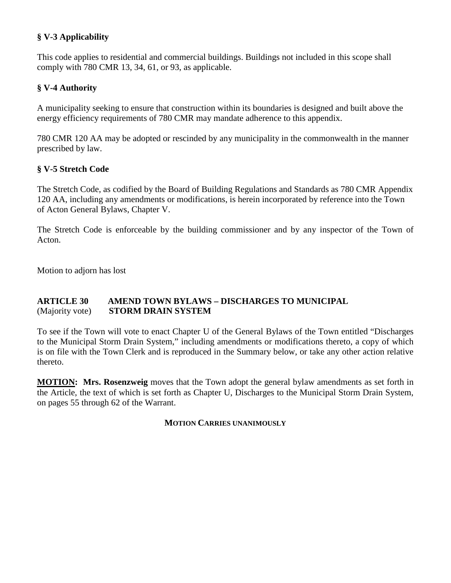# **§ V-3 Applicability**

This code applies to residential and commercial buildings. Buildings not included in this scope shall comply with 780 CMR 13, 34, 61, or 93, as applicable.

# **§ V-4 Authority**

A municipality seeking to ensure that construction within its boundaries is designed and built above the energy efficiency requirements of 780 CMR may mandate adherence to this appendix.

780 CMR 120 AA may be adopted or rescinded by any municipality in the commonwealth in the manner prescribed by law.

# **§ V-5 Stretch Code**

The Stretch Code, as codified by the Board of Building Regulations and Standards as 780 CMR Appendix 120 AA, including any amendments or modifications, is herein incorporated by reference into the Town of Acton General Bylaws, Chapter V.

The Stretch Code is enforceable by the building commissioner and by any inspector of the Town of Acton.

Motion to adjorn has lost

# **ARTICLE 30 AMEND TOWN BYLAWS – DISCHARGES TO MUNICIPAL** (Majority vote) **STORM DRAIN SYSTEM**

To see if the Town will vote to enact Chapter U of the General Bylaws of the Town entitled "Discharges to the Municipal Storm Drain System," including amendments or modifications thereto, a copy of which is on file with the Town Clerk and is reproduced in the Summary below, or take any other action relative thereto.

**MOTION: Mrs. Rosenzweig** moves that the Town adopt the general bylaw amendments as set forth in the Article, the text of which is set forth as Chapter U, Discharges to the Municipal Storm Drain System, on pages 55 through 62 of the Warrant.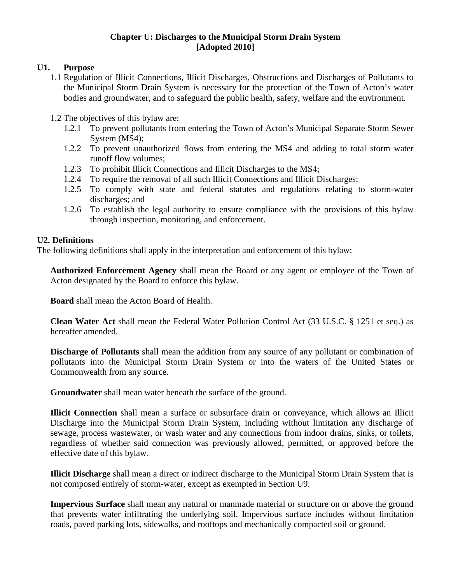#### **Chapter U: Discharges to the Municipal Storm Drain System [Adopted 2010]**

# **U1. Purpose**

- 1.1 Regulation of Illicit Connections, Illicit Discharges, Obstructions and Discharges of Pollutants to the Municipal Storm Drain System is necessary for the protection of the Town of Acton's water bodies and groundwater, and to safeguard the public health, safety, welfare and the environment.
- 1.2 The objectives of this bylaw are:
	- 1.2.1 To prevent pollutants from entering the Town of Acton's Municipal Separate Storm Sewer System (MS4);
	- 1.2.2 To prevent unauthorized flows from entering the MS4 and adding to total storm water runoff flow volumes;
	- 1.2.3 To prohibit Illicit Connections and Illicit Discharges to the MS4;
	- 1.2.4 To require the removal of all such Illicit Connections and Illicit Discharges;
	- 1.2.5 To comply with state and federal statutes and regulations relating to storm-water discharges; and
	- 1.2.6 To establish the legal authority to ensure compliance with the provisions of this bylaw through inspection, monitoring, and enforcement.

# **U2. Definitions**

The following definitions shall apply in the interpretation and enforcement of this bylaw:

**Authorized Enforcement Agency** shall mean the Board or any agent or employee of the Town of Acton designated by the Board to enforce this bylaw.

**Board** shall mean the Acton Board of Health.

**Clean Water Act** shall mean the Federal Water Pollution Control Act (33 U.S.C. § 1251 et seq.) as hereafter amended.

**Discharge of Pollutants** shall mean the addition from any source of any pollutant or combination of pollutants into the Municipal Storm Drain System or into the waters of the United States or Commonwealth from any source.

**Groundwater** shall mean water beneath the surface of the ground.

**Illicit Connection** shall mean a surface or subsurface drain or conveyance, which allows an Illicit Discharge into the Municipal Storm Drain System, including without limitation any discharge of sewage, process wastewater, or wash water and any connections from indoor drains, sinks, or toilets, regardless of whether said connection was previously allowed, permitted, or approved before the effective date of this bylaw.

**Illicit Discharge** shall mean a direct or indirect discharge to the Municipal Storm Drain System that is not composed entirely of storm-water, except as exempted in Section U9.

**Impervious Surface** shall mean any natural or manmade material or structure on or above the ground that prevents water infiltrating the underlying soil. Impervious surface includes without limitation roads, paved parking lots, sidewalks, and rooftops and mechanically compacted soil or ground.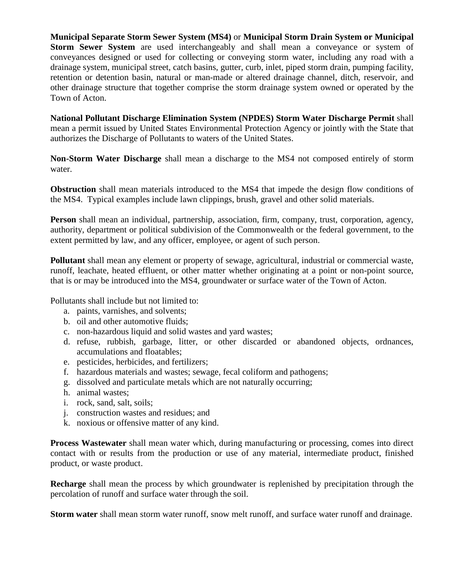**Municipal Separate Storm Sewer System (MS4)** or **Municipal Storm Drain System or Municipal Storm Sewer System** are used interchangeably and shall mean a conveyance or system of conveyances designed or used for collecting or conveying storm water, including any road with a drainage system, municipal street, catch basins, gutter, curb, inlet, piped storm drain, pumping facility, retention or detention basin, natural or man-made or altered drainage channel, ditch, reservoir, and other drainage structure that together comprise the storm drainage system owned or operated by the Town of Acton.

**National Pollutant Discharge Elimination System (NPDES) Storm Water Discharge Permit** shall mean a permit issued by United States Environmental Protection Agency or jointly with the State that authorizes the Discharge of Pollutants to waters of the United States.

**Non-Storm Water Discharge** shall mean a discharge to the MS4 not composed entirely of storm water.

**Obstruction** shall mean materials introduced to the MS4 that impede the design flow conditions of the MS4. Typical examples include lawn clippings, brush, gravel and other solid materials.

**Person** shall mean an individual, partnership, association, firm, company, trust, corporation, agency, authority, department or political subdivision of the Commonwealth or the federal government, to the extent permitted by law, and any officer, employee, or agent of such person.

**Pollutant** shall mean any element or property of sewage, agricultural, industrial or commercial waste, runoff, leachate, heated effluent, or other matter whether originating at a point or non-point source, that is or may be introduced into the MS4, groundwater or surface water of the Town of Acton.

Pollutants shall include but not limited to:

- a. paints, varnishes, and solvents;
- b. oil and other automotive fluids;
- c. non-hazardous liquid and solid wastes and yard wastes;
- d. refuse, rubbish, garbage, litter, or other discarded or abandoned objects, ordnances, accumulations and floatables;
- e. pesticides, herbicides, and fertilizers;
- f. hazardous materials and wastes; sewage, fecal coliform and pathogens;
- g. dissolved and particulate metals which are not naturally occurring;
- h. animal wastes;
- i. rock, sand, salt, soils;
- j. construction wastes and residues; and
- k. noxious or offensive matter of any kind.

**Process Wastewater** shall mean water which, during manufacturing or processing, comes into direct contact with or results from the production or use of any material, intermediate product, finished product, or waste product.

**Recharge** shall mean the process by which groundwater is replenished by precipitation through the percolation of runoff and surface water through the soil.

**Storm water** shall mean storm water runoff, snow melt runoff, and surface water runoff and drainage.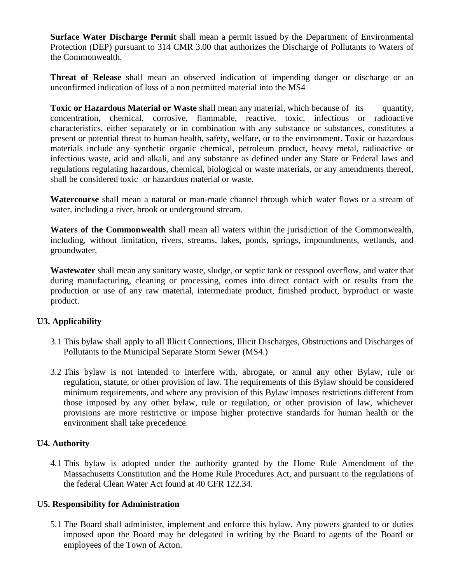**Surface Water Discharge Permit** shall mean a permit issued by the Department of Environmental Protection (DEP) pursuant to 314 CMR 3.00 that authorizes the Discharge of Pollutants to Waters of the Commonwealth.

**Threat of Release** shall mean an observed indication of impending danger or discharge or an unconfirmed indication of loss of a non permitted material into the MS4

**Toxic or Hazardous Material or Waste** shall mean any material, which because of its quantity, concentration, chemical, corrosive, flammable, reactive, toxic, infectious or radioactive characteristics, either separately or in combination with any substance or substances, constitutes a present or potential threat to human health, safety, welfare, or to the environment. Toxic or hazardous materials include any synthetic organic chemical, petroleum product, heavy metal, radioactive or infectious waste, acid and alkali, and any substance as defined under any State or Federal laws and regulations regulating hazardous, chemical, biological or waste materials, or any amendments thereof, shall be considered toxic or hazardous material or waste.

**Watercourse** shall mean a natural or man-made channel through which water flows or a stream of water, including a river, brook or underground stream.

**Waters of the Commonwealth** shall mean all waters within the jurisdiction of the Commonwealth, including, without limitation, rivers, streams, lakes, ponds, springs, impoundments, wetlands, and groundwater.

**Wastewater** shall mean any sanitary waste, sludge, or septic tank or cesspool overflow, and water that during manufacturing, cleaning or processing, comes into direct contact with or results from the production or use of any raw material, intermediate product, finished product, byproduct or waste product.

# **U3. Applicability**

- 3.1 This bylaw shall apply to all Illicit Connections, Illicit Discharges, Obstructions and Discharges of Pollutants to the Municipal Separate Storm Sewer (MS4.)
- 3.2 This bylaw is not intended to interfere with, abrogate, or annul any other Bylaw, rule or regulation, statute, or other provision of law. The requirements of this Bylaw should be considered minimum requirements, and where any provision of this Bylaw imposes restrictions different from those imposed by any other bylaw, rule or regulation, or other provision of law, whichever provisions are more restrictive or impose higher protective standards for human health or the environment shall take precedence.

# **U4. Authority**

4.1 This bylaw is adopted under the authority granted by the Home Rule Amendment of the Massachusetts Constitution and the Home Rule Procedures Act, and pursuant to the regulations of the federal Clean Water Act found at 40 CFR 122.34.

# **U5. Responsibility for Administration**

5.1 The Board shall administer, implement and enforce this bylaw. Any powers granted to or duties imposed upon the Board may be delegated in writing by the Board to agents of the Board or employees of the Town of Acton.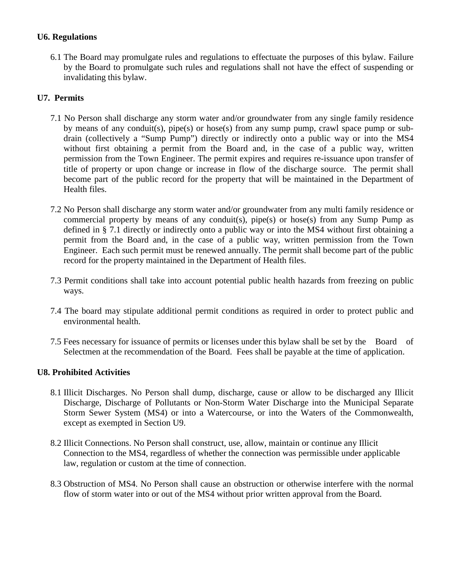# **U6. Regulations**

6.1 The Board may promulgate rules and regulations to effectuate the purposes of this bylaw. Failure by the Board to promulgate such rules and regulations shall not have the effect of suspending or invalidating this bylaw.

# **U7. Permits**

- 7.1 No Person shall discharge any storm water and/or groundwater from any single family residence by means of any conduit(s), pipe(s) or hose(s) from any sump pump, crawl space pump or subdrain (collectively a "Sump Pump") directly or indirectly onto a public way or into the MS4 without first obtaining a permit from the Board and, in the case of a public way, written permission from the Town Engineer. The permit expires and requires re-issuance upon transfer of title of property or upon change or increase in flow of the discharge source. The permit shall become part of the public record for the property that will be maintained in the Department of Health files.
- 7.2 No Person shall discharge any storm water and/or groundwater from any multi family residence or commercial property by means of any conduit(s), pipe(s) or hose(s) from any Sump Pump as defined in § 7.1 directly or indirectly onto a public way or into the MS4 without first obtaining a permit from the Board and, in the case of a public way, written permission from the Town Engineer. Each such permit must be renewed annually. The permit shall become part of the public record for the property maintained in the Department of Health files.
- 7.3 Permit conditions shall take into account potential public health hazards from freezing on public ways.
- 7.4 The board may stipulate additional permit conditions as required in order to protect public and environmental health.
- 7.5 Fees necessary for issuance of permits or licenses under this bylaw shall be set by the Board of Selectmen at the recommendation of the Board. Fees shall be payable at the time of application.

# **U8. Prohibited Activities**

- 8.1 Illicit Discharges. No Person shall dump, discharge, cause or allow to be discharged any Illicit Discharge, Discharge of Pollutants or Non-Storm Water Discharge into the Municipal Separate Storm Sewer System (MS4) or into a Watercourse, or into the Waters of the Commonwealth, except as exempted in Section U9.
- 8.2 Illicit Connections. No Person shall construct, use, allow, maintain or continue any Illicit Connection to the MS4, regardless of whether the connection was permissible under applicable law, regulation or custom at the time of connection.
- 8.3 Obstruction of MS4. No Person shall cause an obstruction or otherwise interfere with the normal flow of storm water into or out of the MS4 without prior written approval from the Board.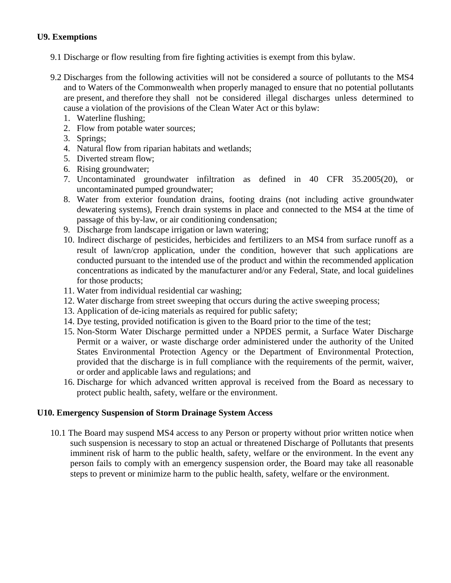#### **U9. Exemptions**

- 9.1 Discharge or flow resulting from fire fighting activities is exempt from this bylaw.
- 9.2 Discharges from the following activities will not be considered a source of pollutants to the MS4 and to Waters of the Commonwealth when properly managed to ensure that no potential pollutants are present, and therefore they shall not be considered illegal discharges unless determined to cause a violation of the provisions of the Clean Water Act or this bylaw:
	- 1. Waterline flushing;
	- 2. Flow from potable water sources;
	- 3. Springs;
	- 4. Natural flow from riparian habitats and wetlands;
	- 5. Diverted stream flow;
	- 6. Rising groundwater;
	- 7. Uncontaminated groundwater infiltration as defined in 40 CFR 35.2005(20), or uncontaminated pumped groundwater;
	- 8. Water from exterior foundation drains, footing drains (not including active groundwater dewatering systems), French drain systems in place and connected to the MS4 at the time of passage of this by-law, or air conditioning condensation;
	- 9. Discharge from landscape irrigation or lawn watering;
	- 10. Indirect discharge of pesticides, herbicides and fertilizers to an MS4 from surface runoff as a result of lawn/crop application, under the condition, however that such applications are conducted pursuant to the intended use of the product and within the recommended application concentrations as indicated by the manufacturer and/or any Federal, State, and local guidelines for those products;
	- 11. Water from individual residential car washing;
	- 12. Water discharge from street sweeping that occurs during the active sweeping process;
	- 13. Application of de-icing materials as required for public safety;
	- 14. Dye testing, provided notification is given to the Board prior to the time of the test;
	- 15. Non-Storm Water Discharge permitted under a NPDES permit, a Surface Water Discharge Permit or a waiver, or waste discharge order administered under the authority of the United States Environmental Protection Agency or the Department of Environmental Protection, provided that the discharge is in full compliance with the requirements of the permit, waiver, or order and applicable laws and regulations; and
	- 16. Discharge for which advanced written approval is received from the Board as necessary to protect public health, safety, welfare or the environment.

# **U10. Emergency Suspension of Storm Drainage System Access**

10.1 The Board may suspend MS4 access to any Person or property without prior written notice when such suspension is necessary to stop an actual or threatened Discharge of Pollutants that presents imminent risk of harm to the public health, safety, welfare or the environment. In the event any person fails to comply with an emergency suspension order, the Board may take all reasonable steps to prevent or minimize harm to the public health, safety, welfare or the environment.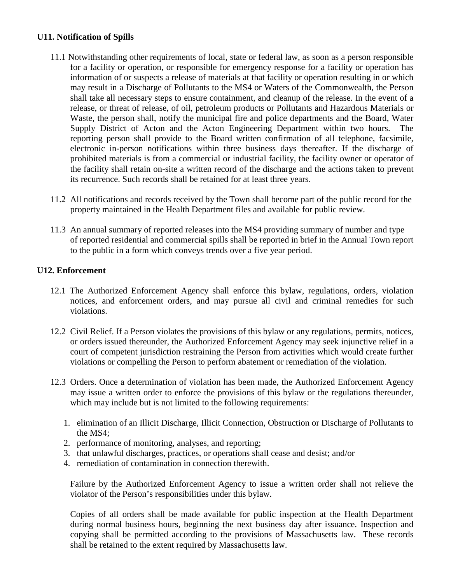# **U11. Notification of Spills**

- 11.1 Notwithstanding other requirements of local, state or federal law, as soon as a person responsible for a facility or operation, or responsible for emergency response for a facility or operation has information of or suspects a release of materials at that facility or operation resulting in or which may result in a Discharge of Pollutants to the MS4 or Waters of the Commonwealth, the Person shall take all necessary steps to ensure containment, and cleanup of the release. In the event of a release, or threat of release, of oil, petroleum products or Pollutants and Hazardous Materials or Waste, the person shall, notify the municipal fire and police departments and the Board, Water Supply District of Acton and the Acton Engineering Department within two hours. The reporting person shall provide to the Board written confirmation of all telephone, facsimile, electronic in-person notifications within three business days thereafter. If the discharge of prohibited materials is from a commercial or industrial facility, the facility owner or operator of the facility shall retain on-site a written record of the discharge and the actions taken to prevent its recurrence. Such records shall be retained for at least three years.
- 11.2 All notifications and records received by the Town shall become part of the public record for the property maintained in the Health Department files and available for public review.
- 11.3 An annual summary of reported releases into the MS4 providing summary of number and type of reported residential and commercial spills shall be reported in brief in the Annual Town report to the public in a form which conveys trends over a five year period.

#### **U12. Enforcement**

- 12.1 The Authorized Enforcement Agency shall enforce this bylaw, regulations, orders, violation notices, and enforcement orders, and may pursue all civil and criminal remedies for such violations.
- 12.2 Civil Relief. If a Person violates the provisions of this bylaw or any regulations, permits, notices, or orders issued thereunder, the Authorized Enforcement Agency may seek injunctive relief in a court of competent jurisdiction restraining the Person from activities which would create further violations or compelling the Person to perform abatement or remediation of the violation.
- 12.3 Orders. Once a determination of violation has been made, the Authorized Enforcement Agency may issue a written order to enforce the provisions of this bylaw or the regulations thereunder, which may include but is not limited to the following requirements:
	- 1. elimination of an Illicit Discharge, Illicit Connection, Obstruction or Discharge of Pollutants to the MS4;
	- 2. performance of monitoring, analyses, and reporting;
	- 3. that unlawful discharges, practices, or operations shall cease and desist; and/or
	- 4. remediation of contamination in connection therewith.

Failure by the Authorized Enforcement Agency to issue a written order shall not relieve the violator of the Person's responsibilities under this bylaw.

Copies of all orders shall be made available for public inspection at the Health Department during normal business hours, beginning the next business day after issuance. Inspection and copying shall be permitted according to the provisions of Massachusetts law. These records shall be retained to the extent required by Massachusetts law.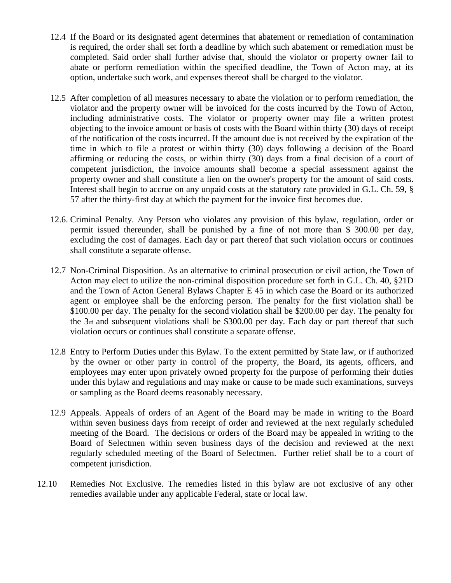- 12.4 If the Board or its designated agent determines that abatement or remediation of contamination is required, the order shall set forth a deadline by which such abatement or remediation must be completed. Said order shall further advise that, should the violator or property owner fail to abate or perform remediation within the specified deadline, the Town of Acton may, at its option, undertake such work, and expenses thereof shall be charged to the violator.
- 12.5 After completion of all measures necessary to abate the violation or to perform remediation, the violator and the property owner will be invoiced for the costs incurred by the Town of Acton, including administrative costs. The violator or property owner may file a written protest objecting to the invoice amount or basis of costs with the Board within thirty (30) days of receipt of the notification of the costs incurred. If the amount due is not received by the expiration of the time in which to file a protest or within thirty (30) days following a decision of the Board affirming or reducing the costs, or within thirty (30) days from a final decision of a court of competent jurisdiction, the invoice amounts shall become a special assessment against the property owner and shall constitute a lien on the owner's property for the amount of said costs. Interest shall begin to accrue on any unpaid costs at the statutory rate provided in G.L. Ch. 59, § 57 after the thirty-first day at which the payment for the invoice first becomes due.
- 12.6. Criminal Penalty. Any Person who violates any provision of this bylaw, regulation, order or permit issued thereunder, shall be punished by a fine of not more than \$ 300.00 per day, excluding the cost of damages. Each day or part thereof that such violation occurs or continues shall constitute a separate offense.
- 12.7 Non-Criminal Disposition. As an alternative to criminal prosecution or civil action, the Town of Acton may elect to utilize the non-criminal disposition procedure set forth in G.L. Ch. 40, §21D and the Town of Acton General Bylaws Chapter E 45 in which case the Board or its authorized agent or employee shall be the enforcing person. The penalty for the first violation shall be \$100.00 per day. The penalty for the second violation shall be \$200.00 per day. The penalty for the 3rd and subsequent violations shall be \$300.00 per day. Each day or part thereof that such violation occurs or continues shall constitute a separate offense.
- 12.8 Entry to Perform Duties under this Bylaw. To the extent permitted by State law, or if authorized by the owner or other party in control of the property, the Board, its agents, officers, and employees may enter upon privately owned property for the purpose of performing their duties under this bylaw and regulations and may make or cause to be made such examinations, surveys or sampling as the Board deems reasonably necessary.
- 12.9 Appeals. Appeals of orders of an Agent of the Board may be made in writing to the Board within seven business days from receipt of order and reviewed at the next regularly scheduled meeting of the Board. The decisions or orders of the Board may be appealed in writing to the Board of Selectmen within seven business days of the decision and reviewed at the next regularly scheduled meeting of the Board of Selectmen. Further relief shall be to a court of competent jurisdiction.
- 12.10 Remedies Not Exclusive. The remedies listed in this bylaw are not exclusive of any other remedies available under any applicable Federal, state or local law.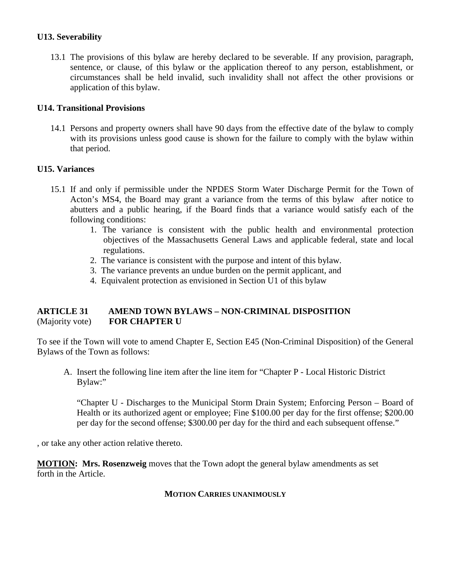#### **U13. Severability**

13.1 The provisions of this bylaw are hereby declared to be severable. If any provision, paragraph, sentence, or clause, of this bylaw or the application thereof to any person, establishment, or circumstances shall be held invalid, such invalidity shall not affect the other provisions or application of this bylaw.

#### **U14. Transitional Provisions**

14.1 Persons and property owners shall have 90 days from the effective date of the bylaw to comply with its provisions unless good cause is shown for the failure to comply with the bylaw within that period.

#### **U15. Variances**

- 15.1 If and only if permissible under the NPDES Storm Water Discharge Permit for the Town of Acton's MS4, the Board may grant a variance from the terms of this bylaw after notice to abutters and a public hearing, if the Board finds that a variance would satisfy each of the following conditions:
	- 1. The variance is consistent with the public health and environmental protection objectives of the Massachusetts General Laws and applicable federal, state and local regulations.
	- 2. The variance is consistent with the purpose and intent of this bylaw.
	- 3. The variance prevents an undue burden on the permit applicant, and
	- 4. Equivalent protection as envisioned in Section U1 of this bylaw

# **ARTICLE 31 AMEND TOWN BYLAWS – NON-CRIMINAL DISPOSITION** (Majority vote) **FOR CHAPTER U**

To see if the Town will vote to amend Chapter E, Section E45 (Non-Criminal Disposition) of the General Bylaws of the Town as follows:

A. Insert the following line item after the line item for "Chapter P - Local Historic District Bylaw:"

"Chapter U - Discharges to the Municipal Storm Drain System; Enforcing Person – Board of Health or its authorized agent or employee; Fine \$100.00 per day for the first offense; \$200.00 per day for the second offense; \$300.00 per day for the third and each subsequent offense."

, or take any other action relative thereto.

**MOTION: Mrs. Rosenzweig** moves that the Town adopt the general bylaw amendments as set forth in the Article.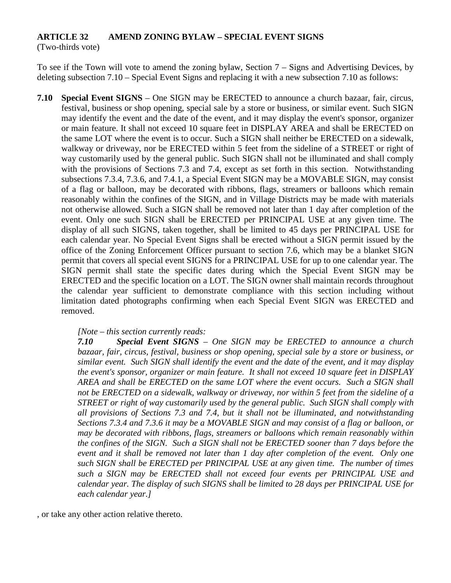# **ARTICLE 32 AMEND ZONING BYLAW – SPECIAL EVENT SIGNS**

(Two-thirds vote)

To see if the Town will vote to amend the zoning bylaw, Section 7 – Signs and Advertising Devices, by deleting subsection 7.10 – Special Event Signs and replacing it with a new subsection 7.10 as follows:

**7.10 Special Event SIGNS** – One SIGN may be ERECTED to announce a church bazaar, fair, circus, festival, business or shop opening, special sale by a store or business, or similar event. Such SIGN may identify the event and the date of the event, and it may display the event's sponsor, organizer or main feature. It shall not exceed 10 square feet in DISPLAY AREA and shall be ERECTED on the same LOT where the event is to occur. Such a SIGN shall neither be ERECTED on a sidewalk, walkway or driveway, nor be ERECTED within 5 feet from the sideline of a STREET or right of way customarily used by the general public. Such SIGN shall not be illuminated and shall comply with the provisions of Sections 7.3 and 7.4, except as set forth in this section. Notwithstanding subsections 7.3.4, 7.3.6, and 7.4.1, a Special Event SIGN may be a MOVABLE SIGN, may consist of a flag or balloon, may be decorated with ribbons, flags, streamers or balloons which remain reasonably within the confines of the SIGN, and in Village Districts may be made with materials not otherwise allowed. Such a SIGN shall be removed not later than 1 day after completion of the event. Only one such SIGN shall be ERECTED per PRINCIPAL USE at any given time. The display of all such SIGNS, taken together, shall be limited to 45 days per PRINCIPAL USE for each calendar year. No Special Event Signs shall be erected without a SIGN permit issued by the office of the Zoning Enforcement Officer pursuant to section 7.6, which may be a blanket SIGN permit that covers all special event SIGNS for a PRINCIPAL USE for up to one calendar year. The SIGN permit shall state the specific dates during which the Special Event SIGN may be ERECTED and the specific location on a LOT. The SIGN owner shall maintain records throughout the calendar year sufficient to demonstrate compliance with this section including without limitation dated photographs confirming when each Special Event SIGN was ERECTED and removed.

#### *[Note – this section currently reads:*

*7.10 Special Event SIGNS – One SIGN may be ERECTED to announce a church bazaar, fair, circus, festival, business or shop opening, special sale by a store or business, or similar event. Such SIGN shall identify the event and the date of the event, and it may display the event's sponsor, organizer or main feature. It shall not exceed 10 square feet in DISPLAY AREA and shall be ERECTED on the same LOT where the event occurs. Such a SIGN shall not be ERECTED on a sidewalk, walkway or driveway, nor within 5 feet from the sideline of a STREET or right of way customarily used by the general public. Such SIGN shall comply with all provisions of Sections 7.3 and 7.4, but it shall not be illuminated, and notwithstanding Sections 7.3.4 and 7.3.6 it may be a MOVABLE SIGN and may consist of a flag or balloon, or may be decorated with ribbons, flags, streamers or balloons which remain reasonably within the confines of the SIGN. Such a SIGN shall not be ERECTED sooner than 7 days before the event and it shall be removed not later than 1 day after completion of the event. Only one such SIGN shall be ERECTED per PRINCIPAL USE at any given time. The number of times such a SIGN may be ERECTED shall not exceed four events per PRINCIPAL USE and calendar year. The display of such SIGNS shall be limited to 28 days per PRINCIPAL USE for each calendar year.]*

, or take any other action relative thereto.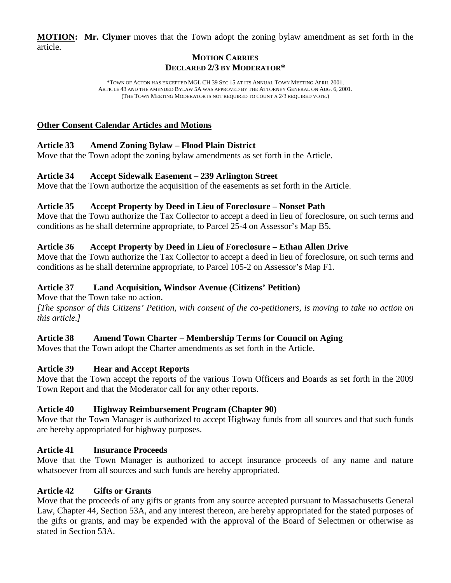**MOTION : Mr. Clymer** moves that the Town adopt the zoning bylaw amendment as set forth in the article.

# **MOTION CARRIES DECLARED 2/3 BY MODERATOR\***

\*TOWN OF ACTON HAS EXCEPTED MGL CH 39 SEC 15 AT ITS ANNUAL TOWN MEETING APRIL 2001, ARTICLE 43 AND THE AMENDED BYLAW 5A WAS APPROVED BY THE ATTORNEY GENERAL ON AUG. 6, 2001. (THE TOWN MEETING MODERATOR IS NOT REQUIRED TO COUNT A 2/3 REQUIRED VOTE.)

# **Other Consent Calendar Articles and Motions**

# **Article 33 Amend Zoning Bylaw – Flood Plain District**

Move that the Town adopt the zoning bylaw amendments as set forth in the Article.

# **Article 34 Accept Sidewalk Easement – 239 Arlington Street**

Move that the Town authorize the acquisition of the easements as set forth in the Article.

# **Article 35 Accept Property by Deed in Lieu of Foreclosure – Nonset Path**

Move that the Town authorize the Tax Collector to accept a deed in lieu of foreclosure, on such terms and conditions as he shall determine appropriate, to Parcel 25-4 on Assessor's Map B5.

# **Article 36 Accept Property by Deed in Lieu of Foreclosure – Ethan Allen Drive**

Move that the Town authorize the Tax Collector to accept a deed in lieu of foreclosure, on such terms and conditions as he shall determine appropriate, to Parcel 105-2 on Assessor's Map F1.

# **Article 37 Land Acquisition, Windsor Avenue (Citizens' Petition)**

Move that the Town take no action.

*[The sponsor of this Citizens' Petition, with consent of the co-petitioners, is moving to take no action on this article.]*

# **Article 38 Amend Town Charter – Membership Terms for Council on Aging**

Moves that the Town adopt the Charter amendments as set forth in the Article.

# **Article 39 Hear and Accept Reports**

Move that the Town accept the reports of the various Town Officers and Boards as set forth in the 2009 Town Report and that the Moderator call for any other reports.

# **Article 40 Highway Reimbursement Program (Chapter 90)**

Move that the Town Manager is authorized to accept Highway funds from all sources and that such funds are hereby appropriated for highway purposes.

# **Article 41 Insurance Proceeds**

Move that the Town Manager is authorized to accept insurance proceeds of any name and nature whatsoever from all sources and such funds are hereby appropriated.

# **Article 42 Gifts or Grants**

Move that the proceeds of any gifts or grants from any source accepted pursuant to Massachusetts General Law, Chapter 44, Section 53A, and any interest thereon, are hereby appropriated for the stated purposes of the gifts or grants, and may be expended with the approval of the Board of Selectmen or otherwise as stated in Section 53A.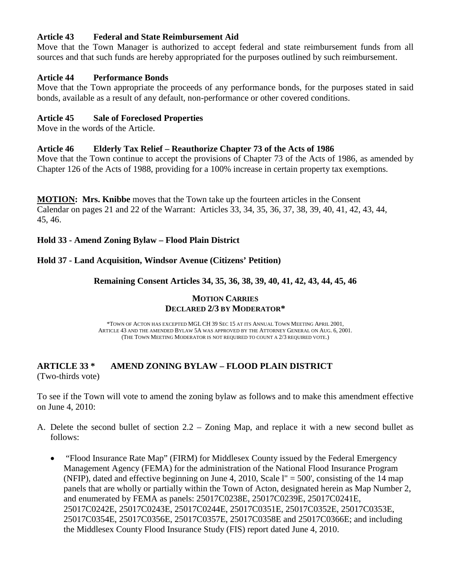# **Article 43 Federal and State Reimbursement Aid**

Move that the Town Manager is authorized to accept federal and state reimbursement funds from all sources and that such funds are hereby appropriated for the purposes outlined by such reimbursement.

# **Article 44 Performance Bonds**

Move that the Town appropriate the proceeds of any performance bonds, for the purposes stated in said bonds, available as a result of any default, non-performance or other covered conditions.

# **Article 45 Sale of Foreclosed Properties**

Move in the words of the Article.

# **Article 46 Elderly Tax Relief – Reauthorize Chapter 73 of the Acts of 1986**

Move that the Town continue to accept the provisions of Chapter 73 of the Acts of 1986, as amended by Chapter 126 of the Acts of 1988, providing for a 100% increase in certain property tax exemptions.

**MOTION: Mrs. Knibbe** moves that the Town take up the fourteen articles in the Consent Calendar on pages 21 and 22 of the Warrant: Articles 33, 34, 35, 36, 37, 38, 39, 40, 41, 42, 43, 44, 45, 46.

# **Hold 33 - Amend Zoning Bylaw – Flood Plain District**

# **Hold 37 - Land Acquisition, Windsor Avenue (Citizens' Petition)**

# **Remaining Consent Articles 34, 35, 36, 38, 39, 40, 41, 42, 43, 44, 45, 46**

#### **MOTION CARRIES DECLARED 2/3 BY MODERATOR\***

\*TOWN OF ACTON HAS EXCEPTED MGL CH 39 SEC 15 AT ITS ANNUAL TOWN MEETING APRIL 2001, ARTICLE 43 AND THE AMENDED BYLAW 5A WAS APPROVED BY THE ATTORNEY GENERAL ON AUG. 6, 2001. (THE TOWN MEETING MODERATOR IS NOT REQUIRED TO COUNT A 2/3 REQUIRED VOTE.)

# **ARTICLE 33 \* AMEND ZONING BYLAW – FLOOD PLAIN DISTRICT** (Two-thirds vote)

To see if the Town will vote to amend the zoning bylaw as follows and to make this amendment effective on June 4, 2010:

- A. Delete the second bullet of section 2.2 Zoning Map, and replace it with a new second bullet as follows:
	- "Flood Insurance Rate Map" (FIRM) for Middlesex County issued by the Federal Emergency Management Agency (FEMA) for the administration of the National Flood Insurance Program (NFIP), dated and effective beginning on June 4, 2010, Scale  $l'' = 500'$ , consisting of the 14 map panels that are wholly or partially within the Town of Acton, designated herein as Map Number 2, and enumerated by FEMA as panels: 25017C0238E, 25017C0239E, 25017C0241E, 25017C0242E, 25017C0243E, 25017C0244E, 25017C0351E, 25017C0352E, 25017C0353E, 25017C0354E, 25017C0356E, 25017C0357E, 25017C0358E and 25017C0366E; and including the Middlesex County Flood Insurance Study (FIS) report dated June 4, 2010.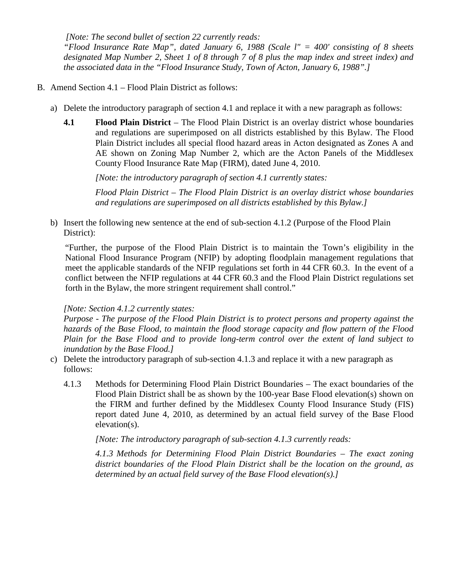*[Note: The second bullet of section 22 currently reads:*

*"Flood Insurance Rate Map", dated January 6, 1988 (Scale l" = 400' consisting of 8 sheets designated Map Number 2, Sheet 1 of 8 through 7 of 8 plus the map index and street index) and the associated data in the "Flood Insurance Study, Town of Acton, January 6, 1988".]*

- B. Amend Section 4.1 Flood Plain District as follows:
	- a) Delete the introductory paragraph of section 4.1 and replace it with a new paragraph as follows:
		- **4.1 Flood Plain District** The Flood Plain District is an overlay district whose boundaries and regulations are superimposed on all districts established by this Bylaw. The Flood Plain District includes all special flood hazard areas in Acton designated as Zones A and AE shown on Zoning Map Number 2, which are the Acton Panels of the Middlesex County Flood Insurance Rate Map (FIRM), dated June 4, 2010.

*[Note: the introductory paragraph of section 4.1 currently states:*

*Flood Plain District – The Flood Plain District is an overlay district whose boundaries and regulations are superimposed on all districts established by this Bylaw.]*

b) Insert the following new sentence at the end of sub-section 4.1.2 (Purpose of the Flood Plain District):

"Further, the purpose of the Flood Plain District is to maintain the Town's eligibility in the National Flood Insurance Program (NFIP) by adopting floodplain management regulations that meet the applicable standards of the NFIP regulations set forth in 44 CFR 60.3. In the event of a conflict between the NFIP regulations at 44 CFR 60.3 and the Flood Plain District regulations set forth in the Bylaw, the more stringent requirement shall control."

#### *[Note: Section 4.1.2 currently states:*

*Purpose - The purpose of the Flood Plain District is to protect persons and property against the hazards of the Base Flood, to maintain the flood storage capacity and flow pattern of the Flood Plain for the Base Flood and to provide long-term control over the extent of land subject to inundation by the Base Flood.]*

- c) Delete the introductory paragraph of sub-section 4.1.3 and replace it with a new paragraph as follows:
	- 4.1.3 Methods for Determining Flood Plain District Boundaries The exact boundaries of the Flood Plain District shall be as shown by the 100-year Base Flood elevation(s) shown on the FIRM and further defined by the Middlesex County Flood Insurance Study (FIS) report dated June 4, 2010, as determined by an actual field survey of the Base Flood elevation(s).

*[Note: The introductory paragraph of sub-section 4.1.3 currently reads:* 

*4.1.3 Methods for Determining Flood Plain District Boundaries – The exact zoning district boundaries of the Flood Plain District shall be the location on the ground, as determined by an actual field survey of the Base Flood elevation(s).]*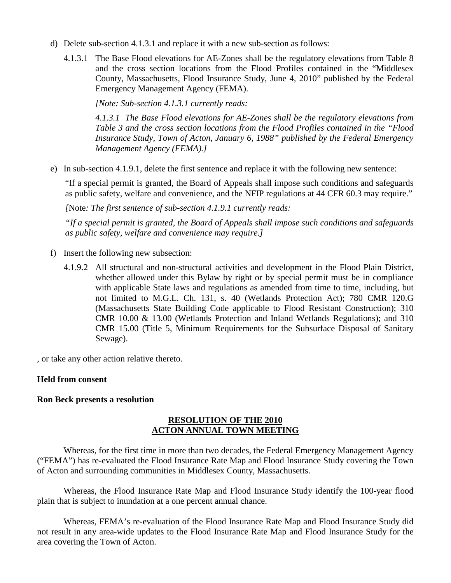- d) Delete sub-section 4.1.3.1 and replace it with a new sub-section as follows:
	- 4.1.3.1 The Base Flood elevations for AE-Zones shall be the regulatory elevations from Table 8 and the cross section locations from the Flood Profiles contained in the "Middlesex County, Massachusetts, Flood Insurance Study, June 4, 2010" published by the Federal Emergency Management Agency (FEMA).

*[Note: Sub-section 4.1.3.1 currently reads:* 

*4.1.3.1 The Base Flood elevations for AE-Zones shall be the regulatory elevations from Table 3 and the cross section locations from the Flood Profiles contained in the "Flood Insurance Study, Town of Acton, January 6, 1988" published by the Federal Emergency Management Agency (FEMA).]*

e) In sub-section 4.1.9.1, delete the first sentence and replace it with the following new sentence:

"If a special permit is granted, the Board of Appeals shall impose such conditions and safeguards as public safety, welfare and convenience, and the NFIP regulations at 44 CFR 60.3 may require."

*[*Note*: The first sentence of sub-section 4.1.9.1 currently reads:* 

*"If a special permit is granted, the Board of Appeals shall impose such conditions and safeguards as public safety, welfare and convenience may require.]*

- f) Insert the following new subsection:
	- 4.1.9.2 All structural and non-structural activities and development in the Flood Plain District, whether allowed under this Bylaw by right or by special permit must be in compliance with applicable State laws and regulations as amended from time to time, including, but not limited to M.G.L. Ch. 131, s. 40 (Wetlands Protection Act); 780 CMR 120.G (Massachusetts State Building Code applicable to Flood Resistant Construction); 310 CMR 10.00 & 13.00 (Wetlands Protection and Inland Wetlands Regulations); and 310 CMR 15.00 (Title 5, Minimum Requirements for the Subsurface Disposal of Sanitary Sewage).

, or take any other action relative thereto.

#### **Held from consent**

#### **Ron Beck presents a resolution**

#### **RESOLUTION OF THE 2010 ACTON ANNUAL TOWN MEETING**

Whereas, for the first time in more than two decades, the Federal Emergency Management Agency ("FEMA") has re-evaluated the Flood Insurance Rate Map and Flood Insurance Study covering the Town of Acton and surrounding communities in Middlesex County, Massachusetts.

Whereas, the Flood Insurance Rate Map and Flood Insurance Study identify the 100-year flood plain that is subject to inundation at a one percent annual chance.

Whereas, FEMA's re-evaluation of the Flood Insurance Rate Map and Flood Insurance Study did not result in any area-wide updates to the Flood Insurance Rate Map and Flood Insurance Study for the area covering the Town of Acton.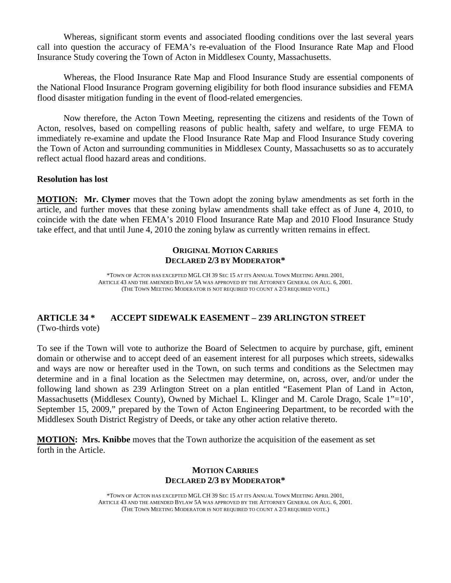Whereas, significant storm events and associated flooding conditions over the last several years call into question the accuracy of FEMA's re-evaluation of the Flood Insurance Rate Map and Flood Insurance Study covering the Town of Acton in Middlesex County, Massachusetts.

Whereas, the Flood Insurance Rate Map and Flood Insurance Study are essential components of the National Flood Insurance Program governing eligibility for both flood insurance subsidies and FEMA flood disaster mitigation funding in the event of flood-related emergencies.

Now therefore, the Acton Town Meeting, representing the citizens and residents of the Town of Acton, resolves, based on compelling reasons of public health, safety and welfare, to urge FEMA to immediately re-examine and update the Flood Insurance Rate Map and Flood Insurance Study covering the Town of Acton and surrounding communities in Middlesex County, Massachusetts so as to accurately reflect actual flood hazard areas and conditions.

#### **Resolution has lost**

**MOTION: Mr. Clymer** moves that the Town adopt the zoning bylaw amendments as set forth in the article, and further moves that these zoning bylaw amendments shall take effect as of June 4, 2010, to coincide with the date when FEMA's 2010 Flood Insurance Rate Map and 2010 Flood Insurance Study take effect, and that until June 4, 2010 the zoning bylaw as currently written remains in effect.

#### **ORIGINAL MOTION CARRIES DECLARED 2/3 BY MODERATOR\***

\*TOWN OF ACTON HAS EXCEPTED MGL CH 39 SEC 15 AT ITS ANNUAL TOWN MEETING APRIL 2001, ARTICLE 43 AND THE AMENDED BYLAW 5A WAS APPROVED BY THE ATTORNEY GENERAL ON AUG. 6, 2001. (THE TOWN MEETING MODERATOR IS NOT REQUIRED TO COUNT A 2/3 REQUIRED VOTE.)

#### **ARTICLE 34 \* ACCEPT SIDEWALK EASEMENT – 239 ARLINGTON STREET** (Two-thirds vote)

To see if the Town will vote to authorize the Board of Selectmen to acquire by purchase, gift, eminent domain or otherwise and to accept deed of an easement interest for all purposes which streets, sidewalks and ways are now or hereafter used in the Town, on such terms and conditions as the Selectmen may determine and in a final location as the Selectmen may determine, on, across, over, and/or under the following land shown as 239 Arlington Street on a plan entitled "Easement Plan of Land in Acton, Massachusetts (Middlesex County), Owned by Michael L. Klinger and M. Carole Drago, Scale 1"=10', September 15, 2009," prepared by the Town of Acton Engineering Department, to be recorded with the Middlesex South District Registry of Deeds, or take any other action relative thereto.

**MOTION: Mrs. Knibbe** moves that the Town authorize the acquisition of the easement as set forth in the Article.

#### **MOTION CARRIES DECLARED 2/3 BY MODERATOR\***

\*TOWN OF ACTON HAS EXCEPTED MGL CH 39 SEC 15 AT ITS ANNUAL TOWN MEETING APRIL 2001, ARTICLE 43 AND THE AMENDED BYLAW 5A WAS APPROVED BY THE ATTORNEY GENERAL ON AUG. 6, 2001. (THE TOWN MEETING MODERATOR IS NOT REQUIRED TO COUNT A 2/3 REQUIRED VOTE.)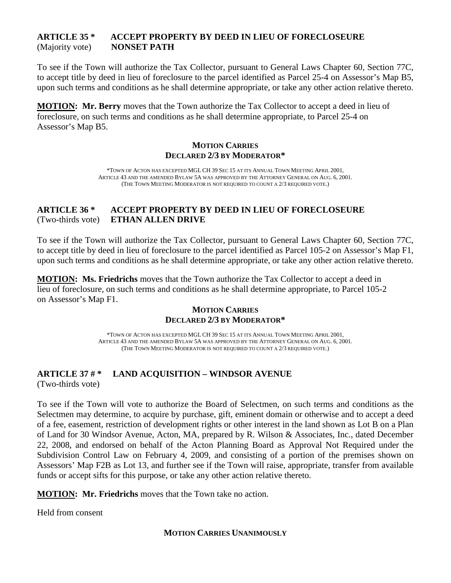#### **ARTICLE 35 \* ACCEPT PROPERTY BY DEED IN LIEU OF FORECLOSEURE** (Majority vote) **NONSET PATH**

To see if the Town will authorize the Tax Collector, pursuant to General Laws Chapter 60, Section 77C, to accept title by deed in lieu of foreclosure to the parcel identified as Parcel 25-4 on Assessor's Map B5, upon such terms and conditions as he shall determine appropriate, or take any other action relative thereto.

**MOTION: Mr. Berry** moves that the Town authorize the Tax Collector to accept a deed in lieu of foreclosure, on such terms and conditions as he shall determine appropriate, to Parcel 25-4 on Assessor's Map B5.

#### **MOTION CARRIES DECLARED 2/3 BY MODERATOR\***

\*TOWN OF ACTON HAS EXCEPTED MGL CH 39 SEC 15 AT ITS ANNUAL TOWN MEETING APRIL 2001, ARTICLE 43 AND THE AMENDED BYLAW 5A WAS APPROVED BY THE ATTORNEY GENERAL ON AUG. 6, 2001. (THE TOWN MEETING MODERATOR IS NOT REQUIRED TO COUNT A 2/3 REQUIRED VOTE.)

#### **ARTICLE 36 \* ACCEPT PROPERTY BY DEED IN LIEU OF FORECLOSEURE** (Two-thirds vote) **ETHAN ALLEN DRIVE**

To see if the Town will authorize the Tax Collector, pursuant to General Laws Chapter 60, Section 77C, to accept title by deed in lieu of foreclosure to the parcel identified as Parcel 105-2 on Assessor's Map F1, upon such terms and conditions as he shall determine appropriate, or take any other action relative thereto.

**MOTION : Ms. Friedrichs** moves that the Town authorize the Tax Collector to accept a deed in lieu of foreclosure, on such terms and conditions as he shall determine appropriate, to Parcel 105-2 on Assessor's Map F1.

#### **MOTION CARRIES DECLARED 2/3 BY MODERATOR\***

\*TOWN OF ACTON HAS EXCEPTED MGL CH 39 SEC 15 AT ITS ANNUAL TOWN MEETING APRIL 2001, ARTICLE 43 AND THE AMENDED BYLAW 5A WAS APPROVED BY THE ATTORNEY GENERAL ON AUG. 6, 2001. (THE TOWN MEETING MODERATOR IS NOT REQUIRED TO COUNT A 2/3 REQUIRED VOTE.)

# **ARTICLE 37 # \* LAND ACQUISITION – WINDSOR AVENUE**

(Two-thirds vote)

To see if the Town will vote to authorize the Board of Selectmen, on such terms and conditions as the Selectmen may determine, to acquire by purchase, gift, eminent domain or otherwise and to accept a deed of a fee, easement, restriction of development rights or other interest in the land shown as Lot B on a Plan of Land for 30 Windsor Avenue, Acton, MA, prepared by R. Wilson & Associates, Inc., dated December 22, 2008, and endorsed on behalf of the Acton Planning Board as Approval Not Required under the Subdivision Control Law on February 4, 2009, and consisting of a portion of the premises shown on Assessors' Map F2B as Lot 13, and further see if the Town will raise, appropriate, transfer from available funds or accept sifts for this purpose, or take any other action relative thereto.

**MOTION: Mr. Friedrichs** moves that the Town take no action.

Held from consent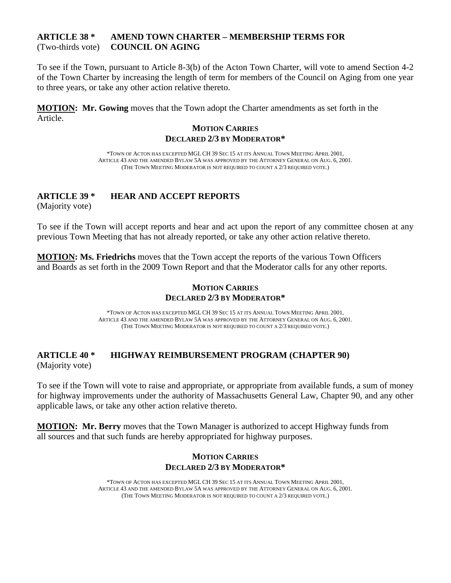#### **ARTICLE 38 \* AMEND TOWN CHARTER – MEMBERSHIP TERMS FOR** (Two-thirds vote) **COUNCIL ON AGING**

To see if the Town, pursuant to Article 8-3(b) of the Acton Town Charter, will vote to amend Section 4-2 of the Town Charter by increasing the length of term for members of the Council on Aging from one year to three years, or take any other action relative thereto.

**MOTION : Mr. Gowing** moves that the Town adopt the Charter amendments as set forth in the Article.

#### **MOTION CARRIES DECLARED 2/3 BY MODERATOR\***

\*TOWN OF ACTON HAS EXCEPTED MGL CH 39 SEC 15 AT ITS ANNUAL TOWN MEETING APRIL 2001, ARTICLE 43 AND THE AMENDED BYLAW 5A WAS APPROVED BY THE ATTORNEY GENERAL ON AUG. 6, 2001. (THE TOWN MEETING MODERATOR IS NOT REQUIRED TO COUNT A 2/3 REQUIRED VOTE.)

# **ARTICLE 39 \* HEAR AND ACCEPT REPORTS**

(Majority vote)

To see if the Town will accept reports and hear and act upon the report of any committee chosen at any previous Town Meeting that has not already reported, or take any other action relative thereto.

**MOTION: Ms. Friedrichs** moves that the Town accept the reports of the various Town Officers and Boards as set forth in the 2009 Town Report and that the Moderator calls for any other reports.

#### **MOTION CARRIES DECLARED 2/3 BY MODERATOR\***

\*TOWN OF ACTON HAS EXCEPTED MGL CH 39 SEC 15 AT ITS ANNUAL TOWN MEETING APRIL 2001, ARTICLE 43 AND THE AMENDED BYLAW 5A WAS APPROVED BY THE ATTORNEY GENERAL ON AUG. 6, 2001. (THE TOWN MEETING MODERATOR IS NOT REQUIRED TO COUNT A 2/3 REQUIRED VOTE.)

# **ARTICLE 40 \* HIGHWAY REIMBURSEMENT PROGRAM (CHAPTER 90)** (Majority vote)

To see if the Town will vote to raise and appropriate, or appropriate from available funds, a sum of money for highway improvements under the authority of Massachusetts General Law, Chapter 90, and any other applicable laws, or take any other action relative thereto.

**MOTION: Mr. Berry** moves that the Town Manager is authorized to accept Highway funds from all sources and that such funds are hereby appropriated for highway purposes.

#### **MOTION CARRIES DECLARED 2/3 BY MODERATOR\***

\*TOWN OF ACTON HAS EXCEPTED MGL CH 39 SEC 15 AT ITS ANNUAL TOWN MEETING APRIL 2001, ARTICLE 43 AND THE AMENDED BYLAW 5A WAS APPROVED BY THE ATTORNEY GENERAL ON AUG. 6, 2001. (THE TOWN MEETING MODERATOR IS NOT REQUIRED TO COUNT A 2/3 REQUIRED VOTE.)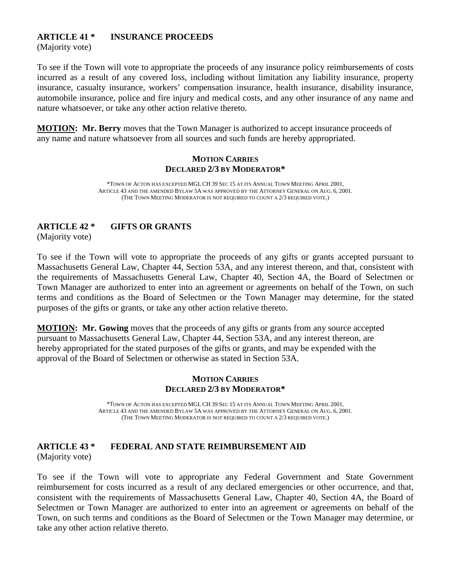# **ARTICLE 41 \* INSURANCE PROCEEDS**

(Majority vote)

To see if the Town will vote to appropriate the proceeds of any insurance policy reimbursements of costs incurred as a result of any covered loss, including without limitation any liability insurance, property insurance, casualty insurance, workers' compensation insurance, health insurance, disability insurance, automobile insurance, police and fire injury and medical costs, and any other insurance of any name and nature whatsoever, or take any other action relative thereto.

**MOTION: Mr. Berry** moves that the Town Manager is authorized to accept insurance proceeds of any name and nature whatsoever from all sources and such funds are hereby appropriated.

#### **MOTION CARRIES DECLARED 2/3 BY MODERATOR\***

\*TOWN OF ACTON HAS EXCEPTED MGL CH 39 SEC 15 AT ITS ANNUAL TOWN MEETING APRIL 2001, ARTICLE 43 AND THE AMENDED BYLAW 5A WAS APPROVED BY THE ATTORNEY GENERAL ON AUG. 6, 2001. (THE TOWN MEETING MODERATOR IS NOT REQUIRED TO COUNT A 2/3 REQUIRED VOTE.)

# **ARTICLE 42 \* GIFTS OR GRANTS**

(Majority vote)

To see if the Town will vote to appropriate the proceeds of any gifts or grants accepted pursuant to Massachusetts General Law, Chapter 44, Section 53A, and any interest thereon, and that, consistent with the requirements of Massachusetts General Law, Chapter 40, Section 4A, the Board of Selectmen or Town Manager are authorized to enter into an agreement or agreements on behalf of the Town, on such terms and conditions as the Board of Selectmen or the Town Manager may determine, for the stated purposes of the gifts or grants, or take any other action relative thereto.

**MOTION: Mr. Gowing** moves that the proceeds of any gifts or grants from any source accepted pursuant to Massachusetts General Law, Chapter 44, Section 53A, and any interest thereon, are hereby appropriated for the stated purposes of the gifts or grants, and may be expended with the approval of the Board of Selectmen or otherwise as stated in Section 53A.

#### **MOTION CARRIES DECLARED 2/3 BY MODERATOR\***

\*TOWN OF ACTON HAS EXCEPTED MGL CH 39 SEC 15 AT ITS ANNUAL TOWN MEETING APRIL 2001, ARTICLE 43 AND THE AMENDED BYLAW 5A WAS APPROVED BY THE ATTORNEY GENERAL ON AUG. 6, 2001. (THE TOWN MEETING MODERATOR IS NOT REQUIRED TO COUNT A 2/3 REQUIRED VOTE.)

#### **ARTICLE 43 \* FEDERAL AND STATE REIMBURSEMENT AID** (Majority vote)

To see if the Town will vote to appropriate any Federal Government and State Government reimbursement for costs incurred as a result of any declared emergencies or other occurrence, and that, consistent with the requirements of Massachusetts General Law, Chapter 40, Section 4A, the Board of Selectmen or Town Manager are authorized to enter into an agreement or agreements on behalf of the Town, on such terms and conditions as the Board of Selectmen or the Town Manager may determine, or take any other action relative thereto.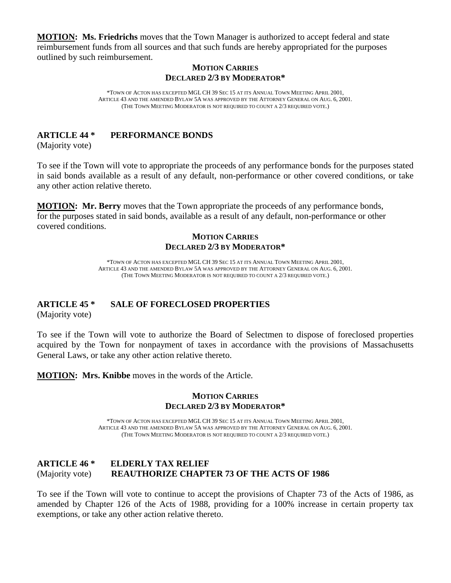**MOTION : Ms. Friedrichs** moves that the Town Manager is authorized to accept federal and state reimbursement funds from all sources and that such funds are hereby appropriated for the purposes outlined by such reimbursement.

#### **MOTION CARRIES DECLARED 2/3 BY MODERATOR\***

\*TOWN OF ACTON HAS EXCEPTED MGL CH 39 SEC 15 AT ITS ANNUAL TOWN MEETING APRIL 2001, ARTICLE 43 AND THE AMENDED BYLAW 5A WAS APPROVED BY THE ATTORNEY GENERAL ON AUG. 6, 2001. (THE TOWN MEETING MODERATOR IS NOT REQUIRED TO COUNT A 2/3 REQUIRED VOTE.)

#### **ARTICLE 44 \* PERFORMANCE BONDS**

(Majority vote)

To see if the Town will vote to appropriate the proceeds of any performance bonds for the purposes stated in said bonds available as a result of any default, non-performance or other covered conditions, or take any other action relative thereto.

**MOTION : Mr. Berry** moves that the Town appropriate the proceeds of any performance bonds, for the purposes stated in said bonds, available as a result of any default, non-performance or other covered conditions.

#### **MOTION CARRIES DECLARED 2/3 BY MODERATOR\***

\*TOWN OF ACTON HAS EXCEPTED MGL CH 39 SEC 15 AT ITS ANNUAL TOWN MEETING APRIL 2001, ARTICLE 43 AND THE AMENDED BYLAW 5A WAS APPROVED BY THE ATTORNEY GENERAL ON AUG. 6, 2001. (THE TOWN MEETING MODERATOR IS NOT REQUIRED TO COUNT A 2/3 REQUIRED VOTE.)

# **ARTICLE 45 \* SALE OF FORECLOSED PROPERTIES**

(Majority vote)

To see if the Town will vote to authorize the Board of Selectmen to dispose of foreclosed properties acquired by the Town for nonpayment of taxes in accordance with the provisions of Massachusetts General Laws, or take any other action relative thereto.

**MOTION: Mrs. Knibbe** moves in the words of the Article.

#### **MOTION CARRIES DECLARED 2/3 BY MODERATOR\***

\*TOWN OF ACTON HAS EXCEPTED MGL CH 39 SEC 15 AT ITS ANNUAL TOWN MEETING APRIL 2001, ARTICLE 43 AND THE AMENDED BYLAW 5A WAS APPROVED BY THE ATTORNEY GENERAL ON AUG. 6, 2001. (THE TOWN MEETING MODERATOR IS NOT REQUIRED TO COUNT A 2/3 REQUIRED VOTE.)

#### **ARTICLE 46 \* ELDERLY TAX RELIEF** (Majority vote) **REAUTHORIZE CHAPTER 73 OF THE ACTS OF 1986**

To see if the Town will vote to continue to accept the provisions of Chapter 73 of the Acts of 1986, as amended by Chapter 126 of the Acts of 1988, providing for a 100% increase in certain property tax exemptions, or take any other action relative thereto.